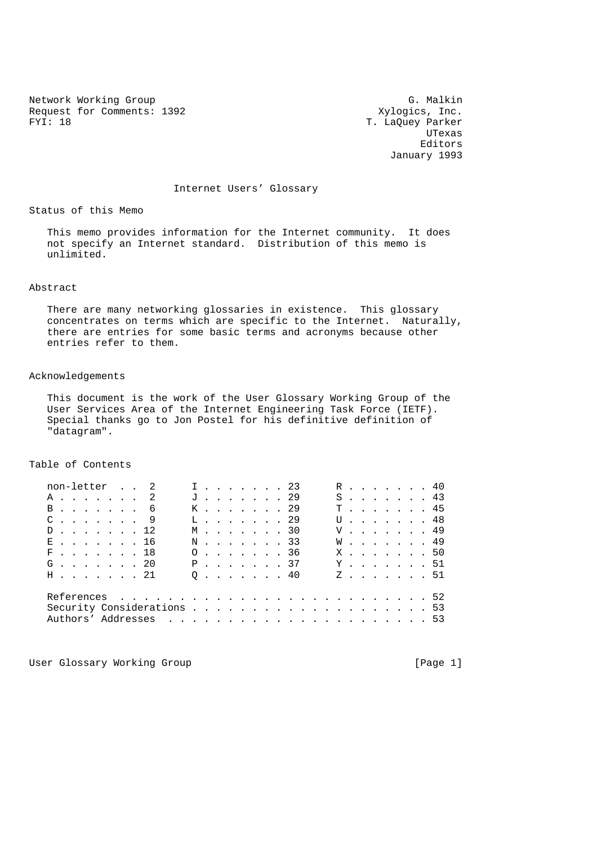Network Working Group G. Malkin G. Malkin<br>Request for Comments: 1392 Sylogics, Inc. Request for Comments: 1392<br>FYI: 18

T. LaQuey Parker ute and the control of the control of the control of the control of the control of the control of the control o Editors January 1993

Internet Users' Glossary

Status of this Memo

 This memo provides information for the Internet community. It does not specify an Internet standard. Distribution of this memo is unlimited.

## Abstract

 There are many networking glossaries in existence. This glossary concentrates on terms which are specific to the Internet. Naturally, there are entries for some basic terms and acronyms because other entries refer to them.

## Acknowledgements

 This document is the work of the User Glossary Working Group of the User Services Area of the Internet Engineering Task Force (IETF). Special thanks go to Jon Postel for his definitive definition of "datagram".

Table of Contents

| non-letter 2                                |  |  |  |  |  | I 23  |  |  |  |  | R 40                                       |
|---------------------------------------------|--|--|--|--|--|-------|--|--|--|--|--------------------------------------------|
| A 2                                         |  |  |  |  |  | J 29  |  |  |  |  | S. 43                                      |
| B 6                                         |  |  |  |  |  | K 29  |  |  |  |  | T 45                                       |
| $C \t . \t . \t . \t . \t . \t . \t . \t 9$ |  |  |  |  |  | 1. 29 |  |  |  |  | U. 48                                      |
| D 12                                        |  |  |  |  |  | M. 30 |  |  |  |  | $V \cdot \cdot \cdot \cdot \cdot \cdot 49$ |
| $E$ 16                                      |  |  |  |  |  | N 33  |  |  |  |  | W49                                        |
| F. 18                                       |  |  |  |  |  | 0. 36 |  |  |  |  | X 50                                       |
|                                             |  |  |  |  |  | P. 37 |  |  |  |  | Y. 51                                      |
| H. 21                                       |  |  |  |  |  | 0 40  |  |  |  |  | Z51                                        |
|                                             |  |  |  |  |  |       |  |  |  |  |                                            |
|                                             |  |  |  |  |  |       |  |  |  |  |                                            |
|                                             |  |  |  |  |  |       |  |  |  |  |                                            |

User Glossary Working Group **Example 20** [Page 1]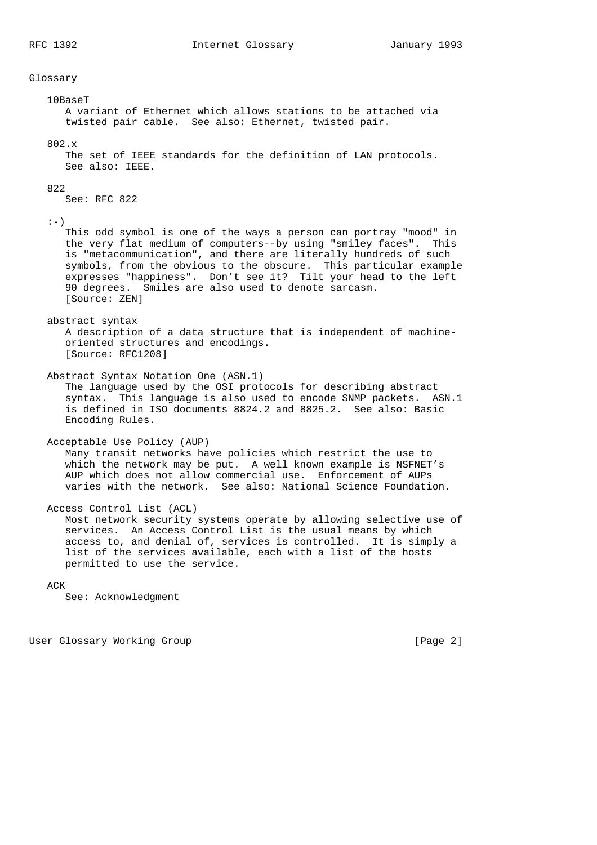Glossary 10BaseT A variant of Ethernet which allows stations to be attached via twisted pair cable. See also: Ethernet, twisted pair. 802.x The set of IEEE standards for the definition of LAN protocols. See also: IEEE. 822 See: RFC 822  $:-)$  This odd symbol is one of the ways a person can portray "mood" in the very flat medium of computers--by using "smiley faces". This is "metacommunication", and there are literally hundreds of such symbols, from the obvious to the obscure. This particular example expresses "happiness". Don't see it? Tilt your head to the left 90 degrees. Smiles are also used to denote sarcasm. [Source: ZEN] abstract syntax A description of a data structure that is independent of machine oriented structures and encodings. [Source: RFC1208] Abstract Syntax Notation One (ASN.1) The language used by the OSI protocols for describing abstract syntax. This language is also used to encode SNMP packets. ASN.1 is defined in ISO documents 8824.2 and 8825.2. See also: Basic Encoding Rules. Acceptable Use Policy (AUP) Many transit networks have policies which restrict the use to which the network may be put. A well known example is NSFNET's AUP which does not allow commercial use. Enforcement of AUPs varies with the network. See also: National Science Foundation. Access Control List (ACL) Most network security systems operate by allowing selective use of services. An Access Control List is the usual means by which access to, and denial of, services is controlled. It is simply a list of the services available, each with a list of the hosts permitted to use the service. ACK See: Acknowledgment

User Glossary Working Group **Example 2** 2 and the User Glossary Working Group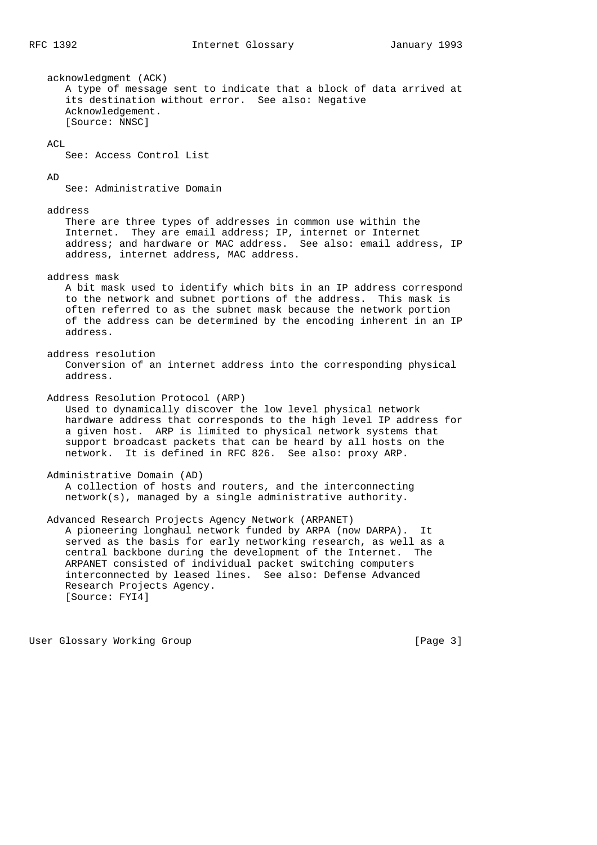acknowledgment (ACK) A type of message sent to indicate that a block of data arrived at its destination without error. See also: Negative Acknowledgement. [Source: NNSC] ACL See: Access Control List AD See: Administrative Domain address There are three types of addresses in common use within the Internet. They are email address; IP, internet or Internet address; and hardware or MAC address. See also: email address, IP address, internet address, MAC address. address mask A bit mask used to identify which bits in an IP address correspond to the network and subnet portions of the address. This mask is often referred to as the subnet mask because the network portion of the address can be determined by the encoding inherent in an IP address. address resolution Conversion of an internet address into the corresponding physical address. Address Resolution Protocol (ARP) Used to dynamically discover the low level physical network hardware address that corresponds to the high level IP address for a given host. ARP is limited to physical network systems that support broadcast packets that can be heard by all hosts on the network. It is defined in RFC 826. See also: proxy ARP. Administrative Domain (AD) A collection of hosts and routers, and the interconnecting network(s), managed by a single administrative authority. Advanced Research Projects Agency Network (ARPANET) A pioneering longhaul network funded by ARPA (now DARPA). It served as the basis for early networking research, as well as a central backbone during the development of the Internet. The ARPANET consisted of individual packet switching computers interconnected by leased lines. See also: Defense Advanced Research Projects Agency. [Source: FYI4]

User Glossary Working Group **Example 20** (Page 3)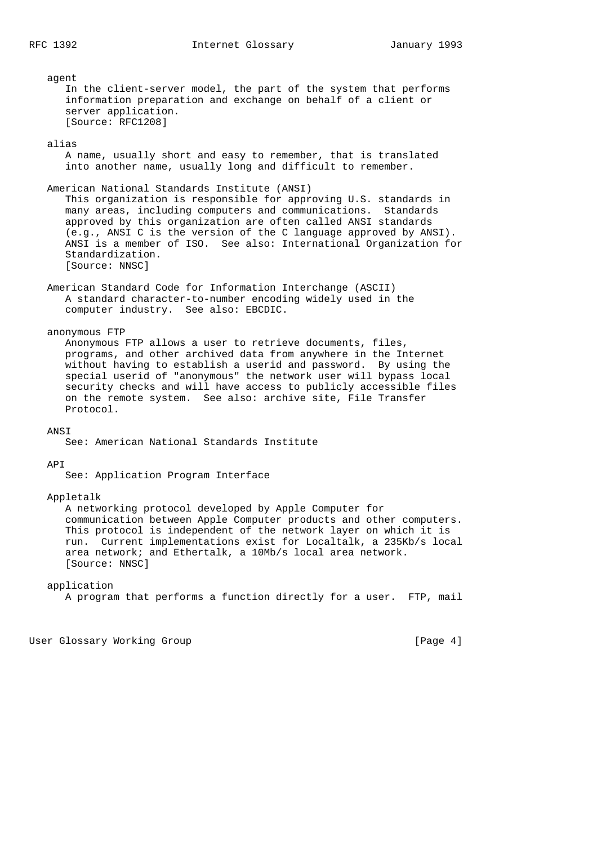| agent<br>In the client-server model, the part of the system that performs<br>information preparation and exchange on behalf of a client or<br>server application.<br>[Source: RFC1208]                                                                                                                                                                                                                                                |
|---------------------------------------------------------------------------------------------------------------------------------------------------------------------------------------------------------------------------------------------------------------------------------------------------------------------------------------------------------------------------------------------------------------------------------------|
| alias<br>A name, usually short and easy to remember, that is translated<br>into another name, usually long and difficult to remember.                                                                                                                                                                                                                                                                                                 |
| American National Standards Institute (ANSI)<br>This organization is responsible for approving U.S. standards in<br>many areas, including computers and communications. Standards<br>approved by this organization are often called ANSI standards<br>(e.g., ANSI C is the version of the C language approved by ANSI).<br>ANSI is a member of ISO. See also: International Organization for<br>Standardization.<br>[Source: NNSC]    |
| American Standard Code for Information Interchange (ASCII)<br>A standard character-to-number encoding widely used in the<br>computer industry. See also: EBCDIC.                                                                                                                                                                                                                                                                      |
| anonymous FTP<br>Anonymous FTP allows a user to retrieve documents, files,<br>programs, and other archived data from anywhere in the Internet<br>without having to establish a userid and password. By using the<br>special userid of "anonymous" the network user will bypass local<br>security checks and will have access to publicly accessible files<br>on the remote system. See also: archive site, File Transfer<br>Protocol. |
| ANSI<br>See: American National Standards Institute                                                                                                                                                                                                                                                                                                                                                                                    |
| API<br>See: Application Program Interface                                                                                                                                                                                                                                                                                                                                                                                             |
| Appletalk<br>A networking protocol developed by Apple Computer for<br>communication between Apple Computer products and other computers.<br>This protocol is independent of the network layer on which it is<br>Current implementations exist for Localtalk, a 235Kb/s local<br>run.<br>area network; and Ethertalk, a 10Mb/s local area network.<br>[Source: NNSC]                                                                   |
| application<br>A program that performs a function directly for a user. FTP, mail                                                                                                                                                                                                                                                                                                                                                      |
| User Glossary Working Group<br>[Page 4]                                                                                                                                                                                                                                                                                                                                                                                               |
|                                                                                                                                                                                                                                                                                                                                                                                                                                       |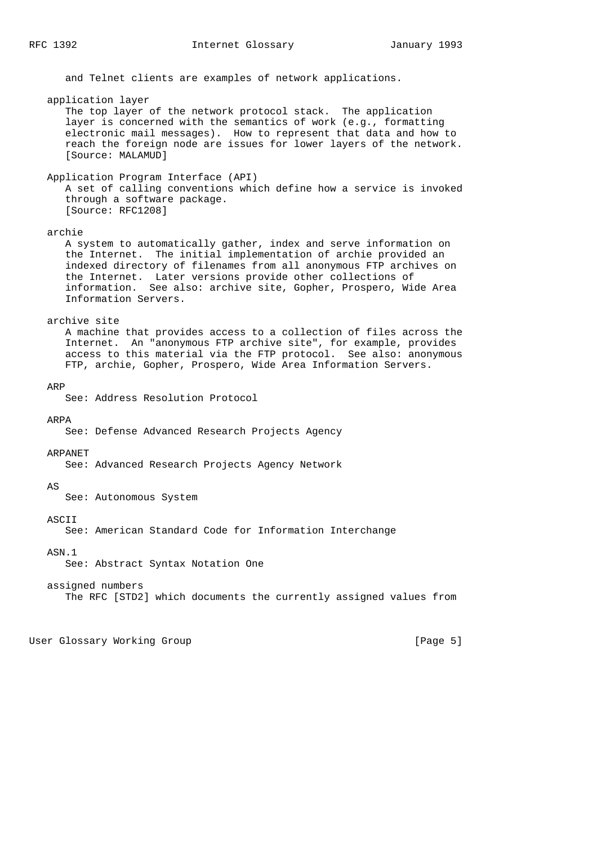and Telnet clients are examples of network applications. application layer The top layer of the network protocol stack. The application layer is concerned with the semantics of work (e.g., formatting electronic mail messages). How to represent that data and how to reach the foreign node are issues for lower layers of the network. [Source: MALAMUD] Application Program Interface (API) A set of calling conventions which define how a service is invoked through a software package. [Source: RFC1208] archie A system to automatically gather, index and serve information on the Internet. The initial implementation of archie provided an indexed directory of filenames from all anonymous FTP archives on the Internet. Later versions provide other collections of information. See also: archive site, Gopher, Prospero, Wide Area Information Servers. archive site A machine that provides access to a collection of files across the Internet. An "anonymous FTP archive site", for example, provides access to this material via the FTP protocol. See also: anonymous FTP, archie, Gopher, Prospero, Wide Area Information Servers. ARP See: Address Resolution Protocol ARPA See: Defense Advanced Research Projects Agency ARPANET See: Advanced Research Projects Agency Network AS See: Autonomous System **ASCII**  See: American Standard Code for Information Interchange ASN.1 See: Abstract Syntax Notation One assigned numbers The RFC [STD2] which documents the currently assigned values from

User Glossary Working Group **[Page 5]**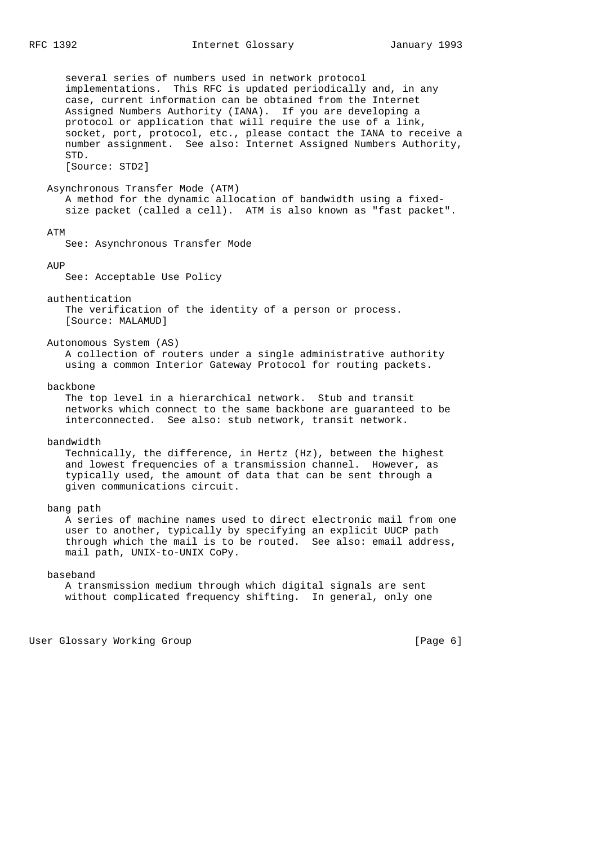several series of numbers used in network protocol implementations. This RFC is updated periodically and, in any case, current information can be obtained from the Internet Assigned Numbers Authority (IANA). If you are developing a protocol or application that will require the use of a link, socket, port, protocol, etc., please contact the IANA to receive a number assignment. See also: Internet Assigned Numbers Authority, STD. [Source: STD2] Asynchronous Transfer Mode (ATM) A method for the dynamic allocation of bandwidth using a fixed size packet (called a cell). ATM is also known as "fast packet". **ATM**  See: Asynchronous Transfer Mode **ATTP**  See: Acceptable Use Policy authentication The verification of the identity of a person or process. [Source: MALAMUD] Autonomous System (AS) A collection of routers under a single administrative authority using a common Interior Gateway Protocol for routing packets. backbone The top level in a hierarchical network. Stub and transit networks which connect to the same backbone are guaranteed to be interconnected. See also: stub network, transit network. bandwidth Technically, the difference, in Hertz (Hz), between the highest and lowest frequencies of a transmission channel. However, as typically used, the amount of data that can be sent through a given communications circuit. bang path A series of machine names used to direct electronic mail from one user to another, typically by specifying an explicit UUCP path through which the mail is to be routed. See also: email address, mail path, UNIX-to-UNIX CoPy.

### baseband

 A transmission medium through which digital signals are sent without complicated frequency shifting. In general, only one

User Glossary Working Group **Example 20** (Page 6)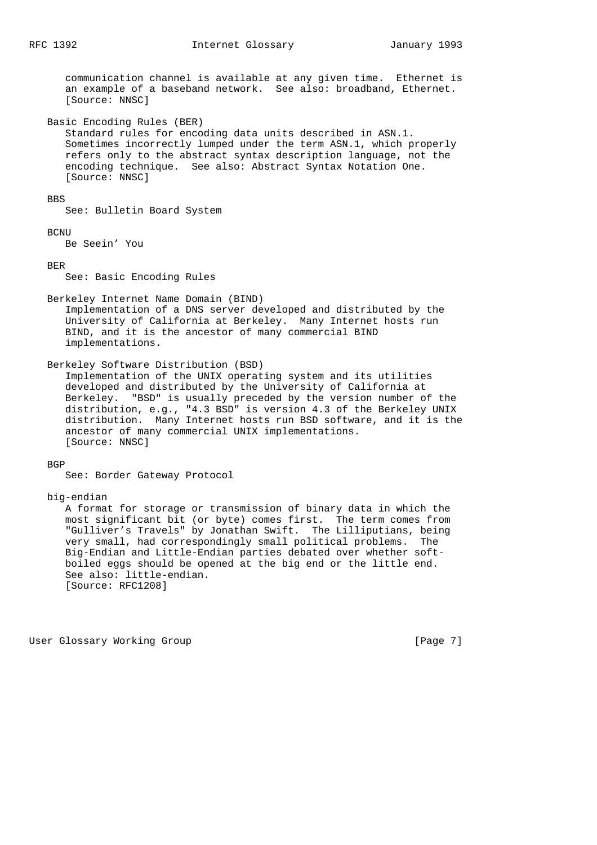communication channel is available at any given time. Ethernet is an example of a baseband network. See also: broadband, Ethernet. [Source: NNSC]

 Basic Encoding Rules (BER) Standard rules for encoding data units described in ASN.1. Sometimes incorrectly lumped under the term ASN.1, which properly refers only to the abstract syntax description language, not the encoding technique. See also: Abstract Syntax Notation One. [Source: NNSC]

#### **BBS**

See: Bulletin Board System

### BCNU

Be Seein' You

#### BER

See: Basic Encoding Rules

# Berkeley Internet Name Domain (BIND) Implementation of a DNS server developed and distributed by the University of California at Berkeley. Many Internet hosts run BIND, and it is the ancestor of many commercial BIND implementations.

### Berkeley Software Distribution (BSD)

 Implementation of the UNIX operating system and its utilities developed and distributed by the University of California at Berkeley. "BSD" is usually preceded by the version number of the distribution, e.g., "4.3 BSD" is version 4.3 of the Berkeley UNIX distribution. Many Internet hosts run BSD software, and it is the ancestor of many commercial UNIX implementations. [Source: NNSC]

### **BGP**

See: Border Gateway Protocol

#### big-endian

 A format for storage or transmission of binary data in which the most significant bit (or byte) comes first. The term comes from "Gulliver's Travels" by Jonathan Swift. The Lilliputians, being very small, had correspondingly small political problems. The Big-Endian and Little-Endian parties debated over whether soft boiled eggs should be opened at the big end or the little end. See also: little-endian. [Source: RFC1208]

User Glossary Working Group **Example 20** (Page 7)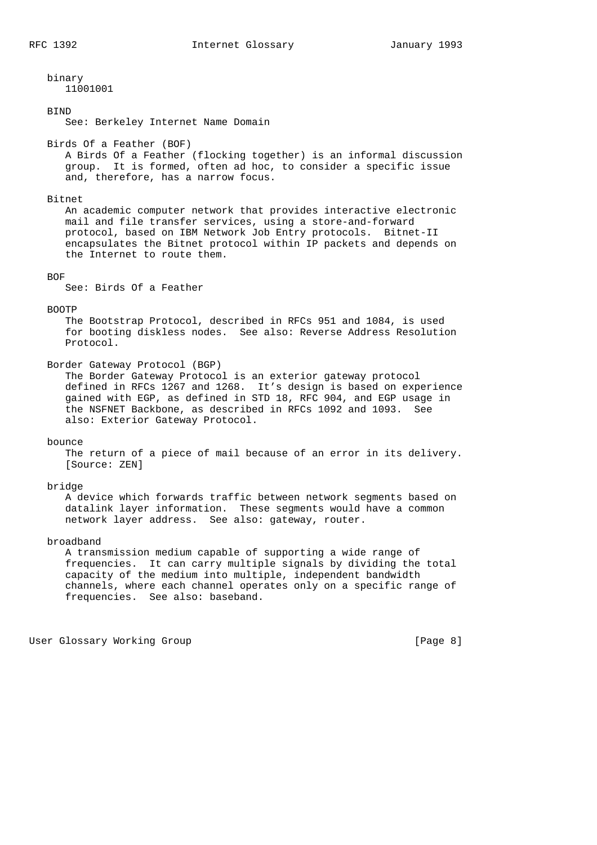binary

11001001

### **BIND**

See: Berkeley Internet Name Domain

Birds Of a Feather (BOF)

 A Birds Of a Feather (flocking together) is an informal discussion group. It is formed, often ad hoc, to consider a specific issue and, therefore, has a narrow focus.

#### Bitnet

 An academic computer network that provides interactive electronic mail and file transfer services, using a store-and-forward protocol, based on IBM Network Job Entry protocols. Bitnet-II encapsulates the Bitnet protocol within IP packets and depends on the Internet to route them.

#### BOF

See: Birds Of a Feather

#### BOOTP

 The Bootstrap Protocol, described in RFCs 951 and 1084, is used for booting diskless nodes. See also: Reverse Address Resolution Protocol.

Border Gateway Protocol (BGP)

 The Border Gateway Protocol is an exterior gateway protocol defined in RFCs 1267 and 1268. It's design is based on experience gained with EGP, as defined in STD 18, RFC 904, and EGP usage in the NSFNET Backbone, as described in RFCs 1092 and 1093. See also: Exterior Gateway Protocol.

### bounce

 The return of a piece of mail because of an error in its delivery. [Source: ZEN]

### bridge

 A device which forwards traffic between network segments based on datalink layer information. These segments would have a common network layer address. See also: gateway, router.

### broadband

 A transmission medium capable of supporting a wide range of frequencies. It can carry multiple signals by dividing the total capacity of the medium into multiple, independent bandwidth channels, where each channel operates only on a specific range of frequencies. See also: baseband.

User Glossary Working Group **Example 20** (Page 8)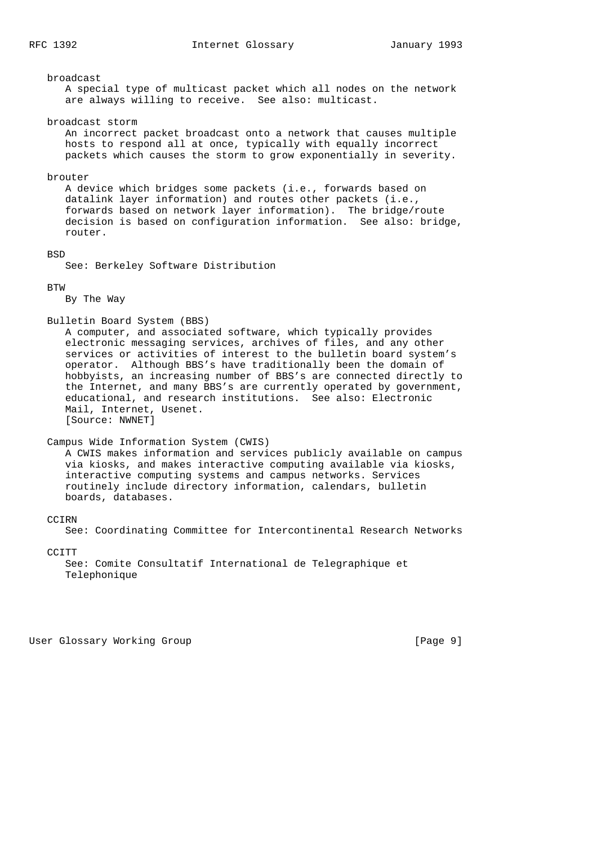#### broadcast

 A special type of multicast packet which all nodes on the network are always willing to receive. See also: multicast.

#### broadcast storm

 An incorrect packet broadcast onto a network that causes multiple hosts to respond all at once, typically with equally incorrect packets which causes the storm to grow exponentially in severity.

#### brouter

 A device which bridges some packets (i.e., forwards based on datalink layer information) and routes other packets (i.e., forwards based on network layer information). The bridge/route decision is based on configuration information. See also: bridge, router.

#### **BSD**

See: Berkeley Software Distribution

#### BTW

By The Way

#### Bulletin Board System (BBS)

 A computer, and associated software, which typically provides electronic messaging services, archives of files, and any other services or activities of interest to the bulletin board system's operator. Although BBS's have traditionally been the domain of hobbyists, an increasing number of BBS's are connected directly to the Internet, and many BBS's are currently operated by government, educational, and research institutions. See also: Electronic Mail, Internet, Usenet. [Source: NWNET]

### Campus Wide Information System (CWIS)

 A CWIS makes information and services publicly available on campus via kiosks, and makes interactive computing available via kiosks, interactive computing systems and campus networks. Services routinely include directory information, calendars, bulletin boards, databases.

# CCIRN

See: Coordinating Committee for Intercontinental Research Networks

**CCITT** 

 See: Comite Consultatif International de Telegraphique et Telephonique

User Glossary Working Group **Example 20** (Page 9)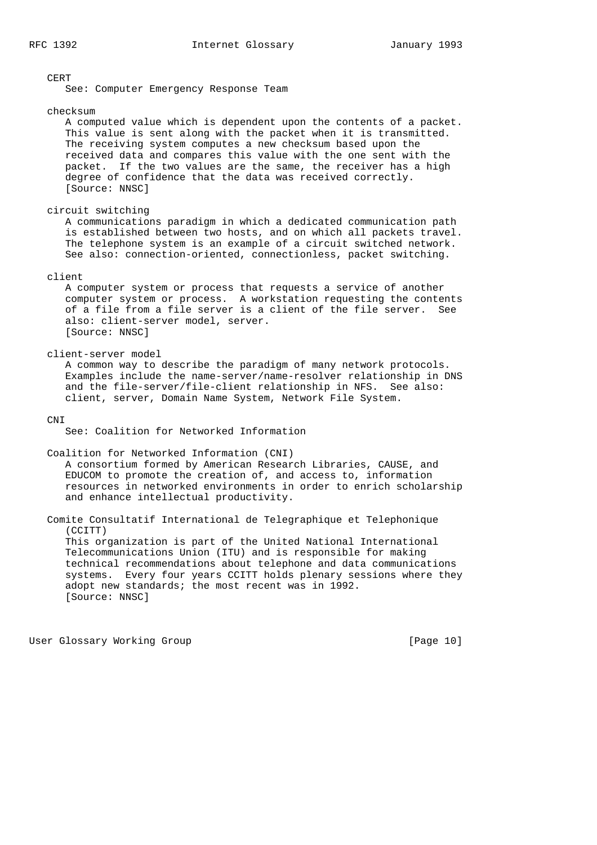CERT

| See: Computer Emergency Response Team                              |
|--------------------------------------------------------------------|
| checksum                                                           |
| A computed value which is dependent upon the contents of a packet. |
| This value is sent along with the packet when it is transmitted.   |
| The regastring gratem generities a new ghealterin begad upon the   |

the packet when it is transmitted. The receiving system computes a new checksum based upon the received data and compares this value with the one sent with the packet. If the two values are the same, the receiver has a high degree of confidence that the data was received correctly. [Source: NNSC]

circuit switching

 A communications paradigm in which a dedicated communication path is established between two hosts, and on which all packets travel. The telephone system is an example of a circuit switched network. See also: connection-oriented, connectionless, packet switching.

#### client

 A computer system or process that requests a service of another computer system or process. A workstation requesting the contents of a file from a file server is a client of the file server. See also: client-server model, server. [Source: NNSC]

client-server model

 A common way to describe the paradigm of many network protocols. Examples include the name-server/name-resolver relationship in DNS and the file-server/file-client relationship in NFS. See also: client, server, Domain Name System, Network File System.

 $CNT$ 

See: Coalition for Networked Information

Coalition for Networked Information (CNI)

 A consortium formed by American Research Libraries, CAUSE, and EDUCOM to promote the creation of, and access to, information resources in networked environments in order to enrich scholarship and enhance intellectual productivity.

 Comite Consultatif International de Telegraphique et Telephonique (CCITT) This organization is part of the United National International Telecommunications Union (ITU) and is responsible for making technical recommendations about telephone and data communications systems. Every four years CCITT holds plenary sessions where they adopt new standards; the most recent was in 1992. [Source: NNSC]

User Glossary Working Group **[Page 10]**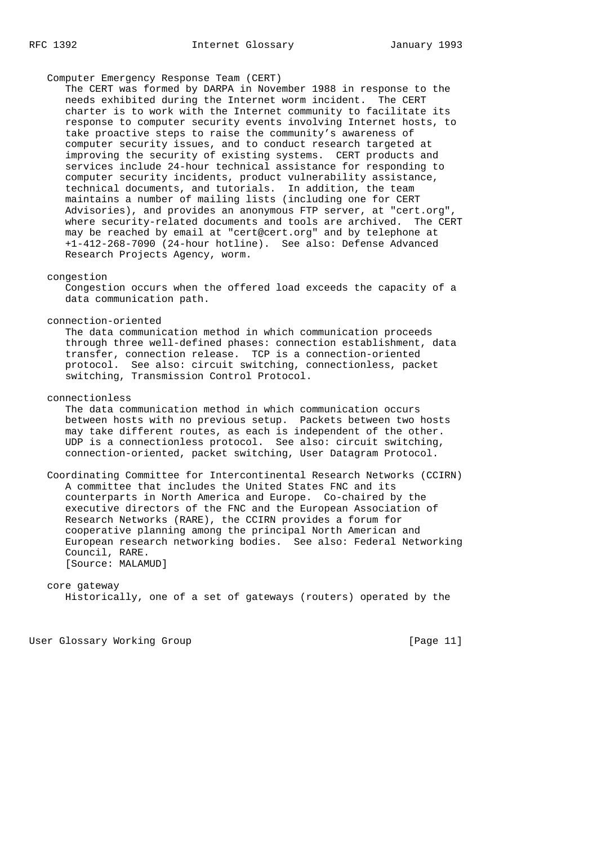# Computer Emergency Response Team (CERT)

 The CERT was formed by DARPA in November 1988 in response to the needs exhibited during the Internet worm incident. The CERT charter is to work with the Internet community to facilitate its response to computer security events involving Internet hosts, to take proactive steps to raise the community's awareness of computer security issues, and to conduct research targeted at improving the security of existing systems. CERT products and services include 24-hour technical assistance for responding to computer security incidents, product vulnerability assistance, technical documents, and tutorials. In addition, the team maintains a number of mailing lists (including one for CERT Advisories), and provides an anonymous FTP server, at "cert.org", where security-related documents and tools are archived. The CERT may be reached by email at "cert@cert.org" and by telephone at +1-412-268-7090 (24-hour hotline). See also: Defense Advanced Research Projects Agency, worm.

### congestion

 Congestion occurs when the offered load exceeds the capacity of a data communication path.

connection-oriented

 The data communication method in which communication proceeds through three well-defined phases: connection establishment, data transfer, connection release. TCP is a connection-oriented protocol. See also: circuit switching, connectionless, packet switching, Transmission Control Protocol.

connectionless

 The data communication method in which communication occurs between hosts with no previous setup. Packets between two hosts may take different routes, as each is independent of the other. UDP is a connectionless protocol. See also: circuit switching, connection-oriented, packet switching, User Datagram Protocol.

 Coordinating Committee for Intercontinental Research Networks (CCIRN) A committee that includes the United States FNC and its counterparts in North America and Europe. Co-chaired by the executive directors of the FNC and the European Association of Research Networks (RARE), the CCIRN provides a forum for cooperative planning among the principal North American and European research networking bodies. See also: Federal Networking Council, RARE. [Source: MALAMUD]

 core gateway Historically, one of a set of gateways (routers) operated by the

User Glossary Working Group **[Page 11]**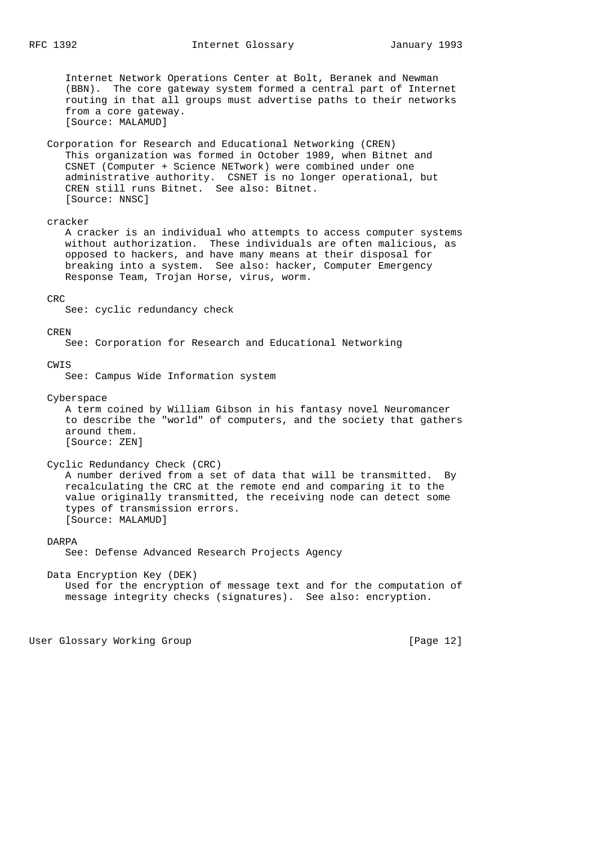Internet Network Operations Center at Bolt, Beranek and Newman (BBN). The core gateway system formed a central part of Internet routing in that all groups must advertise paths to their networks from a core gateway. [Source: MALAMUD]

 Corporation for Research and Educational Networking (CREN) This organization was formed in October 1989, when Bitnet and CSNET (Computer + Science NETwork) were combined under one administrative authority. CSNET is no longer operational, but CREN still runs Bitnet. See also: Bitnet. [Source: NNSC]

#### cracker

 A cracker is an individual who attempts to access computer systems without authorization. These individuals are often malicious, as opposed to hackers, and have many means at their disposal for breaking into a system. See also: hacker, Computer Emergency Response Team, Trojan Horse, virus, worm.

#### CRC

See: cyclic redundancy check

#### CREN

See: Corporation for Research and Educational Networking

### $CVMTC$

See: Campus Wide Information system

Cyberspace

 A term coined by William Gibson in his fantasy novel Neuromancer to describe the "world" of computers, and the society that gathers around them. [Source: ZEN]

Cyclic Redundancy Check (CRC)

 A number derived from a set of data that will be transmitted. By recalculating the CRC at the remote end and comparing it to the value originally transmitted, the receiving node can detect some types of transmission errors. [Source: MALAMUD]

### DARPA

See: Defense Advanced Research Projects Agency

 Data Encryption Key (DEK) Used for the encryption of message text and for the computation of message integrity checks (signatures). See also: encryption.

User Glossary Working Group **[Page 12]**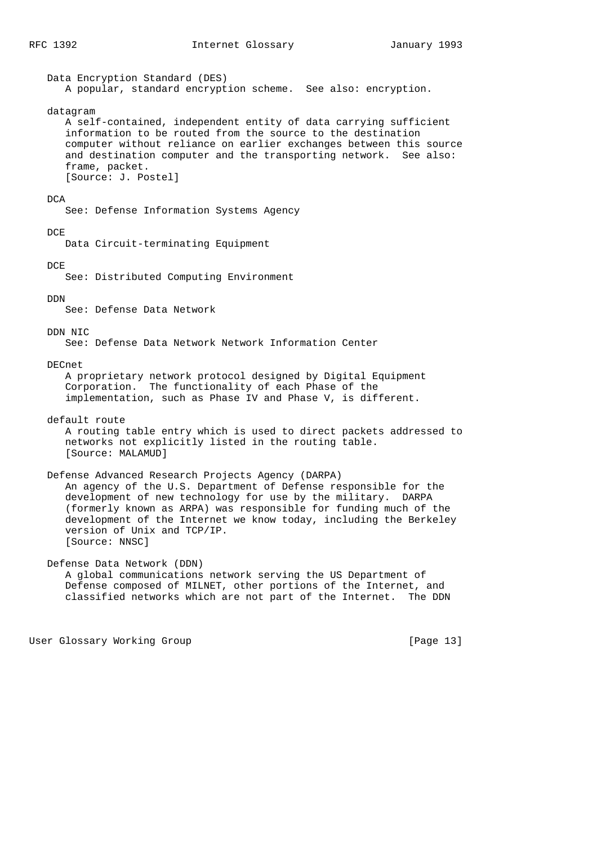Data Encryption Standard (DES) A popular, standard encryption scheme. See also: encryption. datagram A self-contained, independent entity of data carrying sufficient information to be routed from the source to the destination computer without reliance on earlier exchanges between this source and destination computer and the transporting network. See also: frame, packet. [Source: J. Postel]  $DC<sub>A</sub>$  See: Defense Information Systems Agency  $DCF$  Data Circuit-terminating Equipment  $DCF$  See: Distributed Computing Environment **DDN**  See: Defense Data Network DDN NIC See: Defense Data Network Network Information Center DECnet A proprietary network protocol designed by Digital Equipment Corporation. The functionality of each Phase of the implementation, such as Phase IV and Phase V, is different. default route A routing table entry which is used to direct packets addressed to networks not explicitly listed in the routing table. [Source: MALAMUD] Defense Advanced Research Projects Agency (DARPA) An agency of the U.S. Department of Defense responsible for the development of new technology for use by the military. DARPA (formerly known as ARPA) was responsible for funding much of the development of the Internet we know today, including the Berkeley version of Unix and TCP/IP. [Source: NNSC]

 Defense Data Network (DDN) A global communications network serving the US Department of Defense composed of MILNET, other portions of the Internet, and classified networks which are not part of the Internet. The DDN

User Glossary Working Group **Example 20** (Page 13)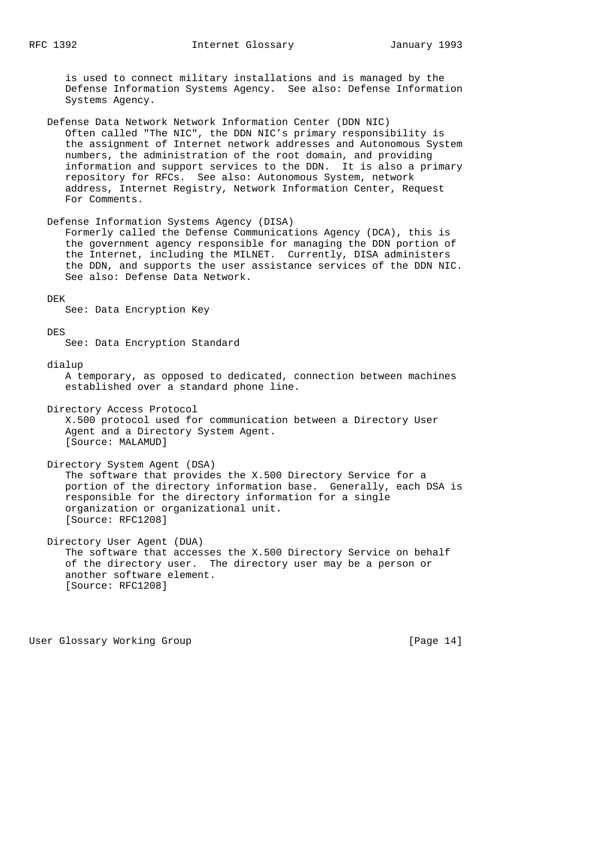is used to connect military installations and is managed by the Defense Information Systems Agency. See also: Defense Information Systems Agency.

 Defense Data Network Network Information Center (DDN NIC) Often called "The NIC", the DDN NIC's primary responsibility is the assignment of Internet network addresses and Autonomous System numbers, the administration of the root domain, and providing information and support services to the DDN. It is also a primary repository for RFCs. See also: Autonomous System, network address, Internet Registry, Network Information Center, Request For Comments.

```
 Defense Information Systems Agency (DISA)
```
 Formerly called the Defense Communications Agency (DCA), this is the government agency responsible for managing the DDN portion of the Internet, including the MILNET. Currently, DISA administers the DDN, and supports the user assistance services of the DDN NIC. See also: Defense Data Network.

#### DEK

See: Data Encryption Key

#### DES

See: Data Encryption Standard

### dialup

 A temporary, as opposed to dedicated, connection between machines established over a standard phone line.

Directory Access Protocol

 X.500 protocol used for communication between a Directory User Agent and a Directory System Agent. [Source: MALAMUD]

Directory System Agent (DSA)

 The software that provides the X.500 Directory Service for a portion of the directory information base. Generally, each DSA is responsible for the directory information for a single organization or organizational unit. [Source: RFC1208]

Directory User Agent (DUA)

 The software that accesses the X.500 Directory Service on behalf of the directory user. The directory user may be a person or another software element. [Source: RFC1208]

User Glossary Working Group **[Page 14]**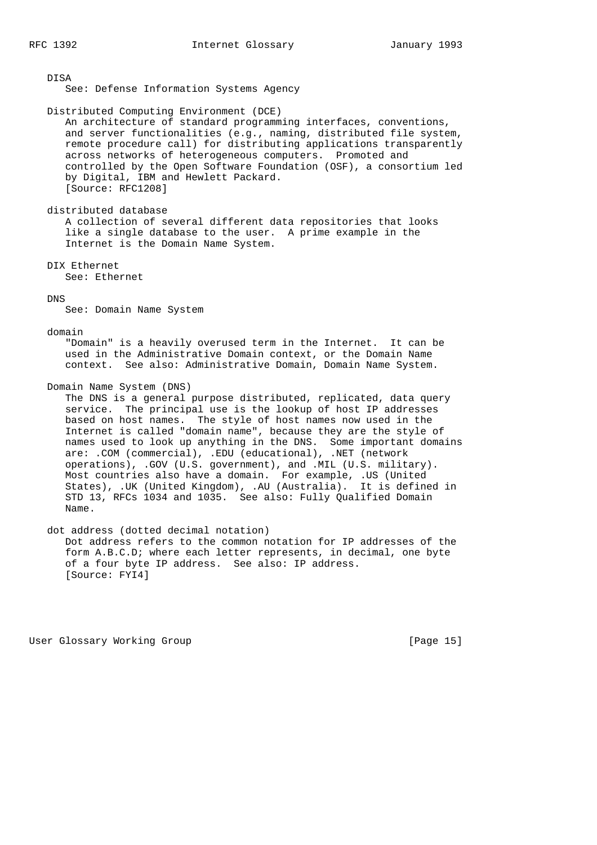DISA See: Defense Information Systems Agency Distributed Computing Environment (DCE) An architecture of standard programming interfaces, conventions, and server functionalities (e.g., naming, distributed file system, remote procedure call) for distributing applications transparently across networks of heterogeneous computers. Promoted and controlled by the Open Software Foundation (OSF), a consortium led by Digital, IBM and Hewlett Packard. [Source: RFC1208] distributed database A collection of several different data repositories that looks like a single database to the user. A prime example in the Internet is the Domain Name System. DIX Ethernet See: Ethernet DNS See: Domain Name System domain "Domain" is a heavily overused term in the Internet. It can be used in the Administrative Domain context, or the Domain Name context. See also: Administrative Domain, Domain Name System. Domain Name System (DNS) The DNS is a general purpose distributed, replicated, data query service. The principal use is the lookup of host IP addresses based on host names. The style of host names now used in the Internet is called "domain name", because they are the style of names used to look up anything in the DNS. Some important domains are: .COM (commercial), .EDU (educational), .NET (network operations), .GOV (U.S. government), and .MIL (U.S. military). Most countries also have a domain. For example, .US (United States), .UK (United Kingdom), .AU (Australia). It is defined in STD 13, RFCs 1034 and 1035. See also: Fully Qualified Domain

dot address (dotted decimal notation)

 Dot address refers to the common notation for IP addresses of the form A.B.C.D; where each letter represents, in decimal, one byte of a four byte IP address. See also: IP address. [Source: FYI4]

User Glossary Working Group **[Page 15]** 

Name.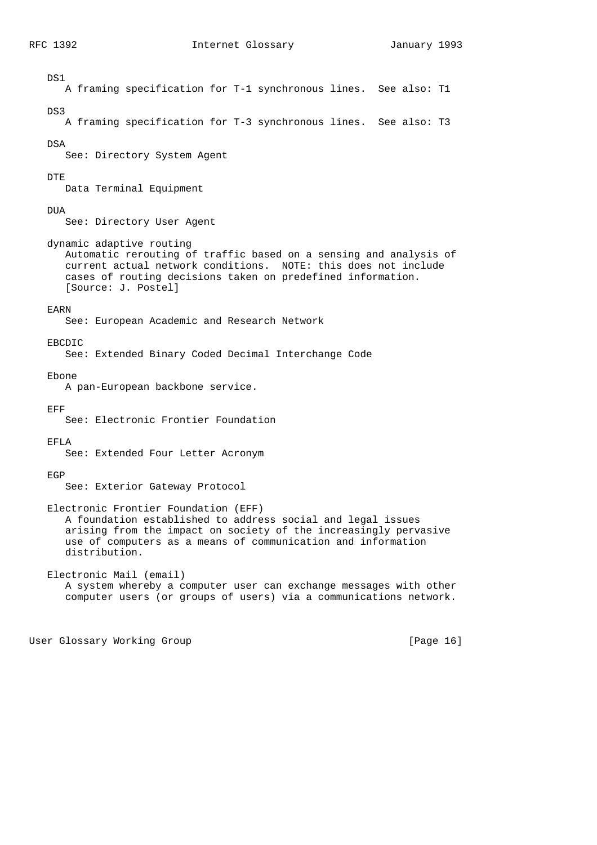DS1 A framing specification for T-1 synchronous lines. See also: T1 DS3 A framing specification for T-3 synchronous lines. See also: T3 DSA See: Directory System Agent DTE Data Terminal Equipment **DIJA**  See: Directory User Agent dynamic adaptive routing Automatic rerouting of traffic based on a sensing and analysis of current actual network conditions. NOTE: this does not include cases of routing decisions taken on predefined information. [Source: J. Postel] EARN See: European Academic and Research Network EBCDIC See: Extended Binary Coded Decimal Interchange Code Ebone A pan-European backbone service. EFF See: Electronic Frontier Foundation EFLA See: Extended Four Letter Acronym EGP See: Exterior Gateway Protocol Electronic Frontier Foundation (EFF) A foundation established to address social and legal issues arising from the impact on society of the increasingly pervasive use of computers as a means of communication and information distribution. Electronic Mail (email) A system whereby a computer user can exchange messages with other computer users (or groups of users) via a communications network.

User Glossary Working Group **[Page 16]**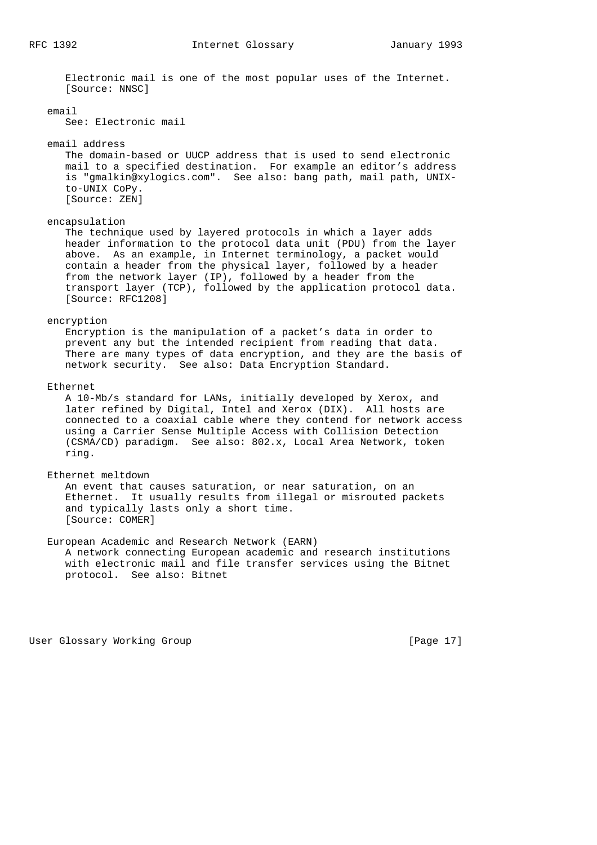Electronic mail is one of the most popular uses of the Internet. [Source: NNSC]

# email

See: Electronic mail

#### email address

 The domain-based or UUCP address that is used to send electronic mail to a specified destination. For example an editor's address is "gmalkin@xylogics.com". See also: bang path, mail path, UNIX to-UNIX CoPy. [Source: ZEN]

#### encapsulation

 The technique used by layered protocols in which a layer adds header information to the protocol data unit (PDU) from the layer above. As an example, in Internet terminology, a packet would contain a header from the physical layer, followed by a header from the network layer (IP), followed by a header from the transport layer (TCP), followed by the application protocol data. [Source: RFC1208]

#### encryption

 Encryption is the manipulation of a packet's data in order to prevent any but the intended recipient from reading that data. There are many types of data encryption, and they are the basis of network security. See also: Data Encryption Standard.

### Ethernet

 A 10-Mb/s standard for LANs, initially developed by Xerox, and later refined by Digital, Intel and Xerox (DIX). All hosts are connected to a coaxial cable where they contend for network access using a Carrier Sense Multiple Access with Collision Detection (CSMA/CD) paradigm. See also: 802.x, Local Area Network, token ring.

#### Ethernet meltdown

 An event that causes saturation, or near saturation, on an Ethernet. It usually results from illegal or misrouted packets and typically lasts only a short time. [Source: COMER]

## European Academic and Research Network (EARN)

 A network connecting European academic and research institutions with electronic mail and file transfer services using the Bitnet protocol. See also: Bitnet

User Glossary Working Group **Example 20** (Page 17)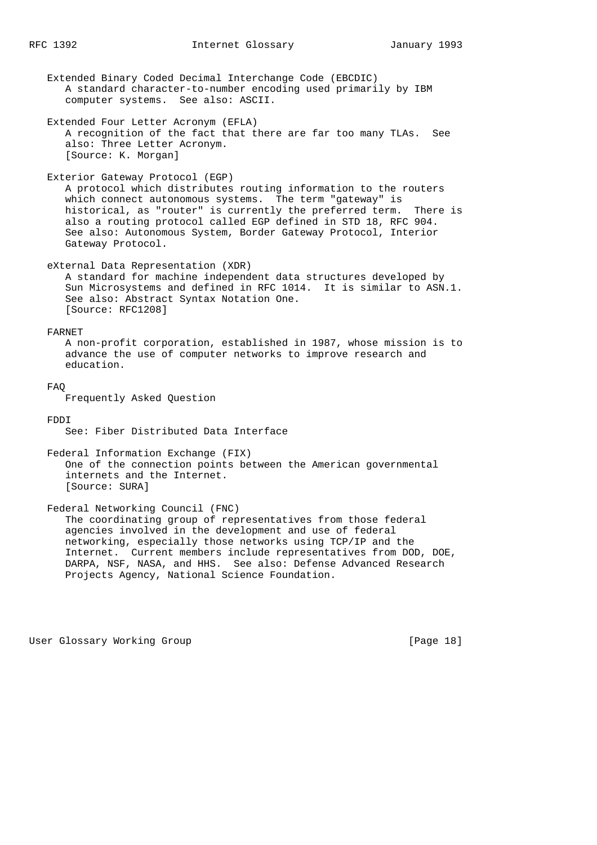Extended Binary Coded Decimal Interchange Code (EBCDIC) A standard character-to-number encoding used primarily by IBM computer systems. See also: ASCII.

 Extended Four Letter Acronym (EFLA) A recognition of the fact that there are far too many TLAs. See also: Three Letter Acronym. [Source: K. Morgan]

Exterior Gateway Protocol (EGP)

 A protocol which distributes routing information to the routers which connect autonomous systems. The term "gateway" is historical, as "router" is currently the preferred term. There is also a routing protocol called EGP defined in STD 18, RFC 904. See also: Autonomous System, Border Gateway Protocol, Interior Gateway Protocol.

eXternal Data Representation (XDR)

 A standard for machine independent data structures developed by Sun Microsystems and defined in RFC 1014. It is similar to ASN.1. See also: Abstract Syntax Notation One. [Source: RFC1208]

#### FARNET

 A non-profit corporation, established in 1987, whose mission is to advance the use of computer networks to improve research and education.

FAQ

Frequently Asked Question

FDDI

See: Fiber Distributed Data Interface

 Federal Information Exchange (FIX) One of the connection points between the American governmental internets and the Internet. [Source: SURA]

 Federal Networking Council (FNC) The coordinating group of representatives from those federal agencies involved in the development and use of federal networking, especially those networks using TCP/IP and the Internet. Current members include representatives from DOD, DOE, DARPA, NSF, NASA, and HHS. See also: Defense Advanced Research Projects Agency, National Science Foundation.

User Glossary Working Group **[Page 18]**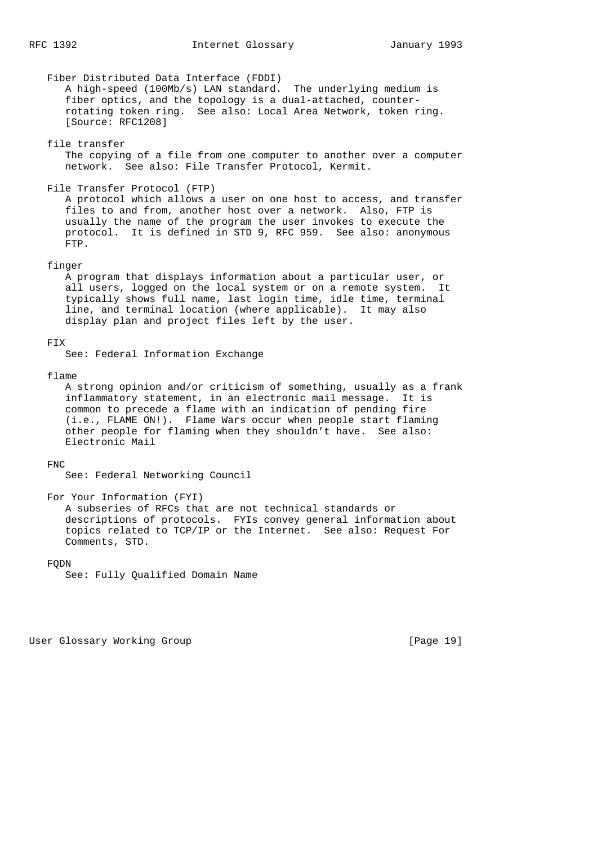Fiber Distributed Data Interface (FDDI)

 A high-speed (100Mb/s) LAN standard. The underlying medium is fiber optics, and the topology is a dual-attached, counter rotating token ring. See also: Local Area Network, token ring. [Source: RFC1208]

### file transfer

 The copying of a file from one computer to another over a computer network. See also: File Transfer Protocol, Kermit.

File Transfer Protocol (FTP)

 A protocol which allows a user on one host to access, and transfer files to and from, another host over a network. Also, FTP is usually the name of the program the user invokes to execute the protocol. It is defined in STD 9, RFC 959. See also: anonymous FTP.

# finger

 A program that displays information about a particular user, or all users, logged on the local system or on a remote system. It typically shows full name, last login time, idle time, terminal line, and terminal location (where applicable). It may also display plan and project files left by the user.

### FIX

See: Federal Information Exchange

### flame

 A strong opinion and/or criticism of something, usually as a frank inflammatory statement, in an electronic mail message. It is common to precede a flame with an indication of pending fire (i.e., FLAME ON!). Flame Wars occur when people start flaming other people for flaming when they shouldn't have. See also: Electronic Mail

### FNC

See: Federal Networking Council

For Your Information (FYI)

 A subseries of RFCs that are not technical standards or descriptions of protocols. FYIs convey general information about topics related to TCP/IP or the Internet. See also: Request For Comments, STD.

### FQDN

See: Fully Qualified Domain Name

User Glossary Working Group **[Page 19]**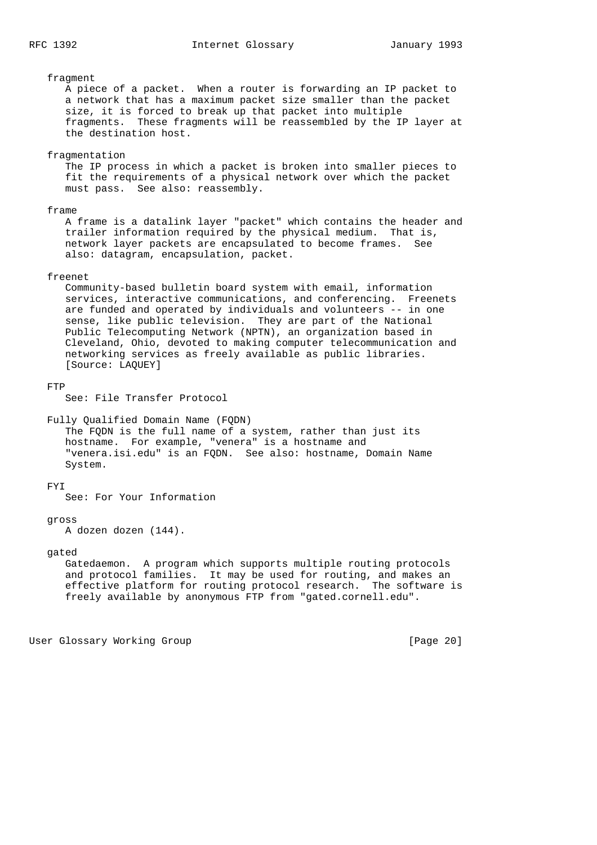| fragment<br>A piece of a packet. When a router is forwarding an IP packet to<br>a network that has a maximum packet size smaller than the packet<br>size, it is forced to break up that packet into multiple<br>fragments. These fragments will be reassembled by the IP layer at<br>the destination host.<br>fragmentation<br>The IP process in which a packet is broken into smaller pieces to<br>fit the requirements of a physical network over which the packet<br>must pass. See also: reassembly.<br>frame<br>A frame is a datalink layer "packet" which contains the header and<br>trailer information required by the physical medium.<br>That is,<br>network layer packets are encapsulated to become frames. See<br>also: datagram, encapsulation, packet.<br>freenet<br>Community-based bulletin board system with email, information<br>services, interactive communications, and conferencing. Freenets<br>are funded and operated by individuals and volunteers -- in one<br>sense, like public television. They are part of the National<br>Public Telecomputing Network (NPTN), an organization based in<br>Cleveland, Ohio, devoted to making computer telecommunication and<br>networking services as freely available as public libraries.<br>[Source: LAQUEY]<br>FTP<br>See: File Transfer Protocol<br>Fully Qualified Domain Name (FQDN)<br>The FQDN is the full name of a system, rather than just its<br>hostname. For example, "venera" is a hostname and<br>"venera.isi.edu" is an FQDN. See also: hostname, Domain Name<br>System.<br>FYI<br>See: For Your Information<br>gross<br>A dozen dozen (144).<br>gated<br>Gatedaemon. A program which supports multiple routing protocols<br>and protocol families. It may be used for routing, and makes an<br>effective platform for routing protocol research. The software is<br>freely available by anonymous FTP from "gated.cornell.edu". |  |
|-----------------------------------------------------------------------------------------------------------------------------------------------------------------------------------------------------------------------------------------------------------------------------------------------------------------------------------------------------------------------------------------------------------------------------------------------------------------------------------------------------------------------------------------------------------------------------------------------------------------------------------------------------------------------------------------------------------------------------------------------------------------------------------------------------------------------------------------------------------------------------------------------------------------------------------------------------------------------------------------------------------------------------------------------------------------------------------------------------------------------------------------------------------------------------------------------------------------------------------------------------------------------------------------------------------------------------------------------------------------------------------------------------------------------------------------------------------------------------------------------------------------------------------------------------------------------------------------------------------------------------------------------------------------------------------------------------------------------------------------------------------------------------------------------------------------------------------------------------------------------------------------------------------------------|--|
|                                                                                                                                                                                                                                                                                                                                                                                                                                                                                                                                                                                                                                                                                                                                                                                                                                                                                                                                                                                                                                                                                                                                                                                                                                                                                                                                                                                                                                                                                                                                                                                                                                                                                                                                                                                                                                                                                                                       |  |
|                                                                                                                                                                                                                                                                                                                                                                                                                                                                                                                                                                                                                                                                                                                                                                                                                                                                                                                                                                                                                                                                                                                                                                                                                                                                                                                                                                                                                                                                                                                                                                                                                                                                                                                                                                                                                                                                                                                       |  |
|                                                                                                                                                                                                                                                                                                                                                                                                                                                                                                                                                                                                                                                                                                                                                                                                                                                                                                                                                                                                                                                                                                                                                                                                                                                                                                                                                                                                                                                                                                                                                                                                                                                                                                                                                                                                                                                                                                                       |  |
|                                                                                                                                                                                                                                                                                                                                                                                                                                                                                                                                                                                                                                                                                                                                                                                                                                                                                                                                                                                                                                                                                                                                                                                                                                                                                                                                                                                                                                                                                                                                                                                                                                                                                                                                                                                                                                                                                                                       |  |
|                                                                                                                                                                                                                                                                                                                                                                                                                                                                                                                                                                                                                                                                                                                                                                                                                                                                                                                                                                                                                                                                                                                                                                                                                                                                                                                                                                                                                                                                                                                                                                                                                                                                                                                                                                                                                                                                                                                       |  |
|                                                                                                                                                                                                                                                                                                                                                                                                                                                                                                                                                                                                                                                                                                                                                                                                                                                                                                                                                                                                                                                                                                                                                                                                                                                                                                                                                                                                                                                                                                                                                                                                                                                                                                                                                                                                                                                                                                                       |  |
|                                                                                                                                                                                                                                                                                                                                                                                                                                                                                                                                                                                                                                                                                                                                                                                                                                                                                                                                                                                                                                                                                                                                                                                                                                                                                                                                                                                                                                                                                                                                                                                                                                                                                                                                                                                                                                                                                                                       |  |
|                                                                                                                                                                                                                                                                                                                                                                                                                                                                                                                                                                                                                                                                                                                                                                                                                                                                                                                                                                                                                                                                                                                                                                                                                                                                                                                                                                                                                                                                                                                                                                                                                                                                                                                                                                                                                                                                                                                       |  |
|                                                                                                                                                                                                                                                                                                                                                                                                                                                                                                                                                                                                                                                                                                                                                                                                                                                                                                                                                                                                                                                                                                                                                                                                                                                                                                                                                                                                                                                                                                                                                                                                                                                                                                                                                                                                                                                                                                                       |  |

User Glossary Working Group **[Page 20]**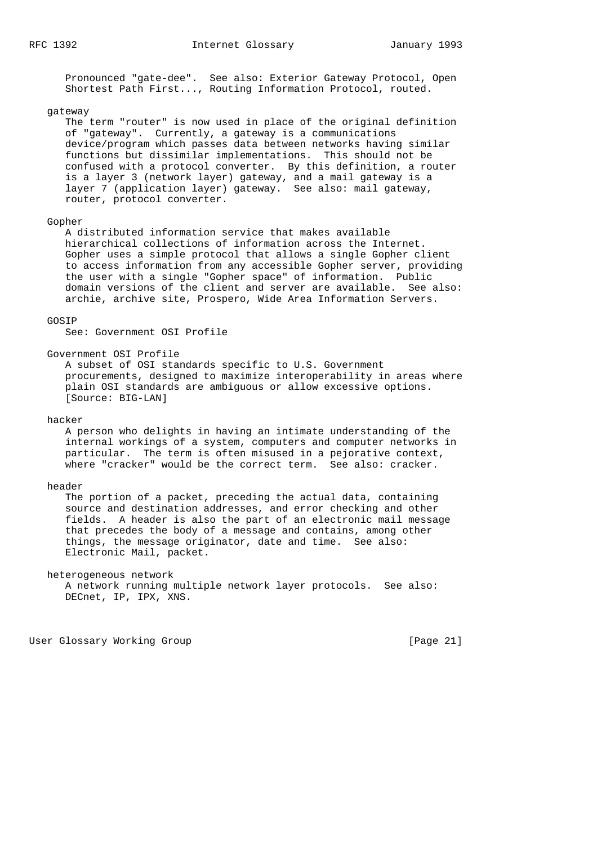Pronounced "gate-dee". See also: Exterior Gateway Protocol, Open Shortest Path First..., Routing Information Protocol, routed.

#### gateway

 The term "router" is now used in place of the original definition of "gateway". Currently, a gateway is a communications device/program which passes data between networks having similar functions but dissimilar implementations. This should not be confused with a protocol converter. By this definition, a router is a layer 3 (network layer) gateway, and a mail gateway is a layer 7 (application layer) gateway. See also: mail gateway, router, protocol converter.

#### Gopher

 A distributed information service that makes available hierarchical collections of information across the Internet. Gopher uses a simple protocol that allows a single Gopher client to access information from any accessible Gopher server, providing the user with a single "Gopher space" of information. Public domain versions of the client and server are available. See also: archie, archive site, Prospero, Wide Area Information Servers.

### GOSIP

See: Government OSI Profile

Government OSI Profile

 A subset of OSI standards specific to U.S. Government procurements, designed to maximize interoperability in areas where plain OSI standards are ambiguous or allow excessive options. [Source: BIG-LAN]

### hacker

 A person who delights in having an intimate understanding of the internal workings of a system, computers and computer networks in particular. The term is often misused in a pejorative context, where "cracker" would be the correct term. See also: cracker.

### header

 The portion of a packet, preceding the actual data, containing source and destination addresses, and error checking and other fields. A header is also the part of an electronic mail message that precedes the body of a message and contains, among other things, the message originator, date and time. See also: Electronic Mail, packet.

heterogeneous network

 A network running multiple network layer protocols. See also: DECnet, IP, IPX, XNS.

User Glossary Working Group **[Page 21]**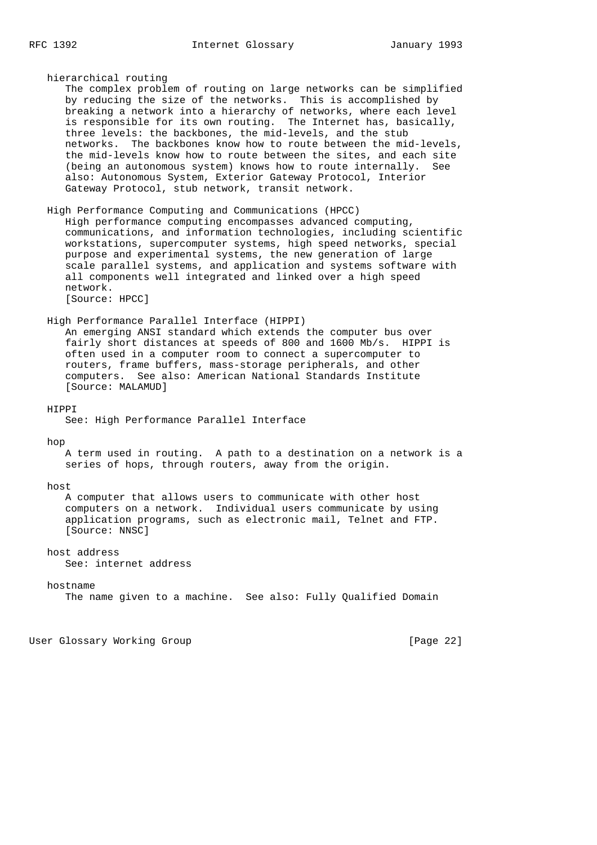hierarchical routing The complex problem of routing on large networks can be simplified by reducing the size of the networks. This is accomplished by breaking a network into a hierarchy of networks, where each level is responsible for its own routing. The Internet has, basically, three levels: the backbones, the mid-levels, and the stub networks. The backbones know how to route between the mid-levels, the mid-levels know how to route between the sites, and each site (being an autonomous system) knows how to route internally. See also: Autonomous System, Exterior Gateway Protocol, Interior Gateway Protocol, stub network, transit network. High Performance Computing and Communications (HPCC) High performance computing encompasses advanced computing, communications, and information technologies, including scientific workstations, supercomputer systems, high speed networks, special purpose and experimental systems, the new generation of large scale parallel systems, and application and systems software with all components well integrated and linked over a high speed network. [Source: HPCC] High Performance Parallel Interface (HIPPI) An emerging ANSI standard which extends the computer bus over fairly short distances at speeds of 800 and 1600 Mb/s. HIPPI is often used in a computer room to connect a supercomputer to routers, frame buffers, mass-storage peripherals, and other computers. See also: American National Standards Institute [Source: MALAMUD] HIPPI See: High Performance Parallel Interface hop A term used in routing. A path to a destination on a network is a series of hops, through routers, away from the origin. host A computer that allows users to communicate with other host computers on a network. Individual users communicate by using application programs, such as electronic mail, Telnet and FTP. [Source: NNSC] host address See: internet address hostname The name given to a machine. See also: Fully Qualified Domain User Glossary Working Group **[Page 22]**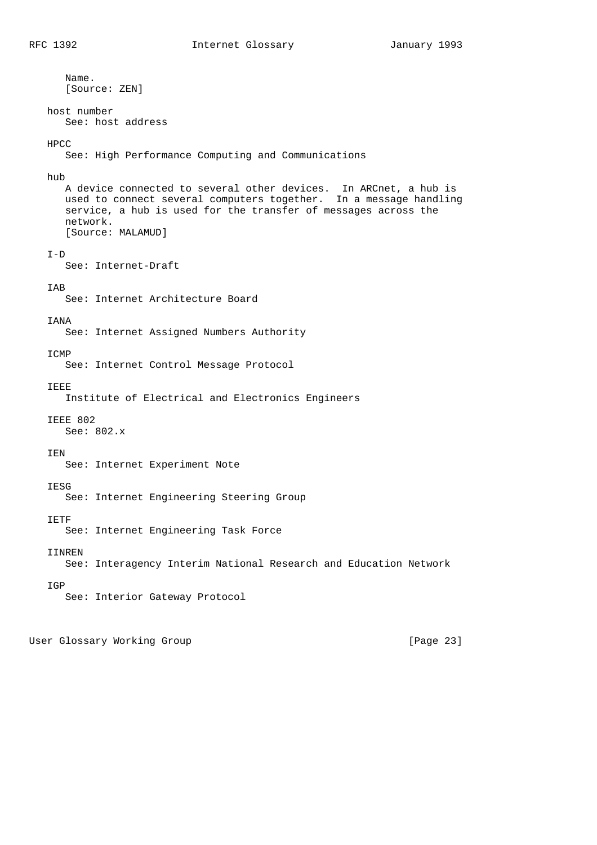Name. [Source: ZEN] host number See: host address HPCC See: High Performance Computing and Communications hub A device connected to several other devices. In ARCnet, a hub is used to connect several computers together. In a message handling service, a hub is used for the transfer of messages across the network. [Source: MALAMUD]  $T-D$  See: Internet-Draft IAB See: Internet Architecture Board IANA See: Internet Assigned Numbers Authority ICMP See: Internet Control Message Protocol IEEE Institute of Electrical and Electronics Engineers IEEE 802 See: 802.x IEN See: Internet Experiment Note IESG See: Internet Engineering Steering Group IETF See: Internet Engineering Task Force IINREN See: Interagency Interim National Research and Education Network IGP See: Interior Gateway Protocol

User Glossary Working Group **[Page 23]**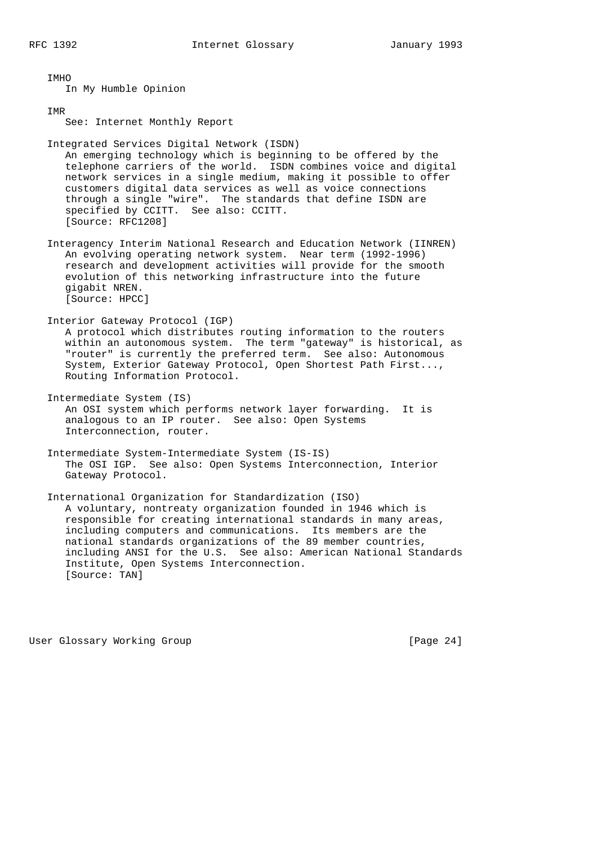IMHO In My Humble Opinion IMR See: Internet Monthly Report Integrated Services Digital Network (ISDN) An emerging technology which is beginning to be offered by the telephone carriers of the world. ISDN combines voice and digital network services in a single medium, making it possible to offer customers digital data services as well as voice connections through a single "wire". The standards that define ISDN are specified by CCITT. See also: CCITT. [Source: RFC1208] Interagency Interim National Research and Education Network (IINREN) An evolving operating network system. Near term (1992-1996) research and development activities will provide for the smooth evolution of this networking infrastructure into the future gigabit NREN. [Source: HPCC] Interior Gateway Protocol (IGP) A protocol which distributes routing information to the routers within an autonomous system. The term "gateway" is historical, as "router" is currently the preferred term. See also: Autonomous System, Exterior Gateway Protocol, Open Shortest Path First..., Routing Information Protocol. Intermediate System (IS) An OSI system which performs network layer forwarding. It is analogous to an IP router. See also: Open Systems Interconnection, router. Intermediate System-Intermediate System (IS-IS) The OSI IGP. See also: Open Systems Interconnection, Interior Gateway Protocol. International Organization for Standardization (ISO) A voluntary, nontreaty organization founded in 1946 which is responsible for creating international standards in many areas, including computers and communications. Its members are the national standards organizations of the 89 member countries, including ANSI for the U.S. See also: American National Standards Institute, Open Systems Interconnection.

User Glossary Working Group **by the Contract of Contract Contract Contract Contract Contract Contract Contract** 

[Source: TAN]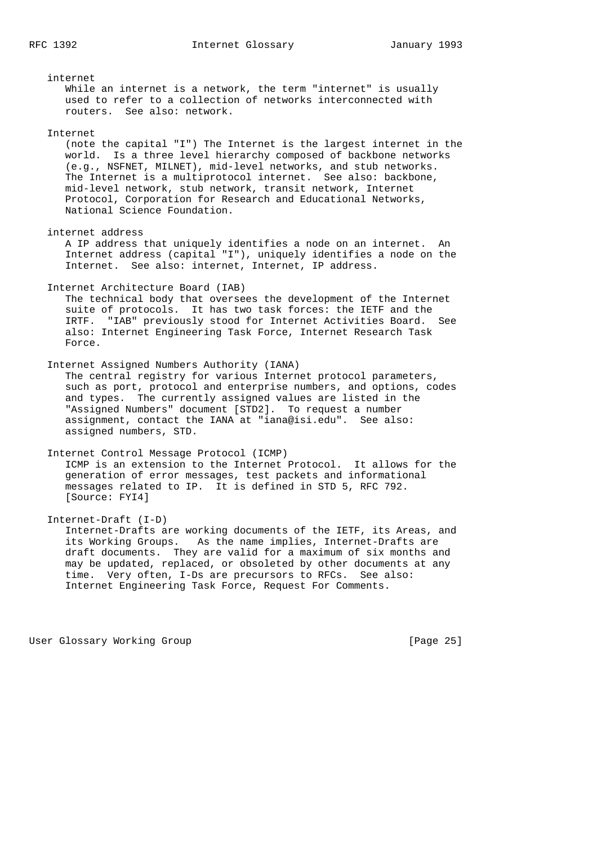#### internet

 While an internet is a network, the term "internet" is usually used to refer to a collection of networks interconnected with routers. See also: network.

### Internet

 (note the capital "I") The Internet is the largest internet in the world. Is a three level hierarchy composed of backbone networks (e.g., NSFNET, MILNET), mid-level networks, and stub networks. The Internet is a multiprotocol internet. See also: backbone, mid-level network, stub network, transit network, Internet Protocol, Corporation for Research and Educational Networks, National Science Foundation.

# internet address

 A IP address that uniquely identifies a node on an internet. An Internet address (capital "I"), uniquely identifies a node on the Internet. See also: internet, Internet, IP address.

### Internet Architecture Board (IAB)

 The technical body that oversees the development of the Internet suite of protocols. It has two task forces: the IETF and the IRTF. "IAB" previously stood for Internet Activities Board. See also: Internet Engineering Task Force, Internet Research Task Force.

### Internet Assigned Numbers Authority (IANA)

The central registry for various Internet protocol parameters, such as port, protocol and enterprise numbers, and options, codes and types. The currently assigned values are listed in the "Assigned Numbers" document [STD2]. To request a number assignment, contact the IANA at "iana@isi.edu". See also: assigned numbers, STD.

### Internet Control Message Protocol (ICMP)

 ICMP is an extension to the Internet Protocol. It allows for the generation of error messages, test packets and informational messages related to IP. It is defined in STD 5, RFC 792. [Source: FYI4]

Internet-Draft (I-D)

 Internet-Drafts are working documents of the IETF, its Areas, and its Working Groups. As the name implies, Internet-Drafts are draft documents. They are valid for a maximum of six months and may be updated, replaced, or obsoleted by other documents at any time. Very often, I-Ds are precursors to RFCs. See also: Internet Engineering Task Force, Request For Comments.

User Glossary Working Group **[Page 25]**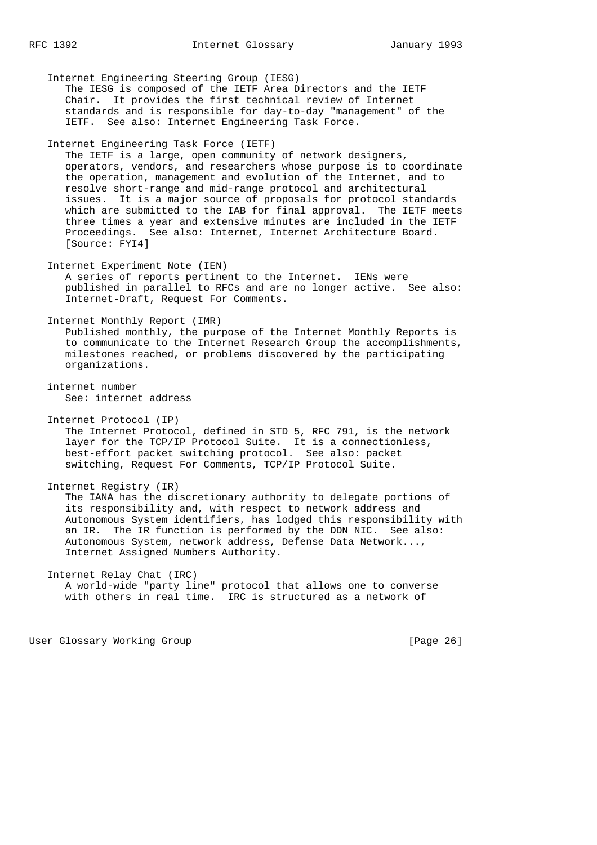Internet Engineering Steering Group (IESG) The IESG is composed of the IETF Area Directors and the IETF Chair. It provides the first technical review of Internet standards and is responsible for day-to-day "management" of the IETF. See also: Internet Engineering Task Force. Internet Engineering Task Force (IETF) The IETF is a large, open community of network designers, operators, vendors, and researchers whose purpose is to coordinate the operation, management and evolution of the Internet, and to resolve short-range and mid-range protocol and architectural issues. It is a major source of proposals for protocol standards which are submitted to the IAB for final approval. The IETF meets three times a year and extensive minutes are included in the IETF Proceedings. See also: Internet, Internet Architecture Board. [Source: FYI4] Internet Experiment Note (IEN) A series of reports pertinent to the Internet. IENs were published in parallel to RFCs and are no longer active. See also: Internet-Draft, Request For Comments. Internet Monthly Report (IMR) Published monthly, the purpose of the Internet Monthly Reports is to communicate to the Internet Research Group the accomplishments, milestones reached, or problems discovered by the participating organizations. internet number See: internet address Internet Protocol (IP) The Internet Protocol, defined in STD 5, RFC 791, is the network layer for the TCP/IP Protocol Suite. It is a connectionless, best-effort packet switching protocol. See also: packet switching, Request For Comments, TCP/IP Protocol Suite. Internet Registry (IR) The IANA has the discretionary authority to delegate portions of its responsibility and, with respect to network address and Autonomous System identifiers, has lodged this responsibility with an IR. The IR function is performed by the DDN NIC. See also: Autonomous System, network address, Defense Data Network..., Internet Assigned Numbers Authority. Internet Relay Chat (IRC) A world-wide "party line" protocol that allows one to converse with others in real time. IRC is structured as a network of

User Glossary Working Group **[Page 26]** [Page 26]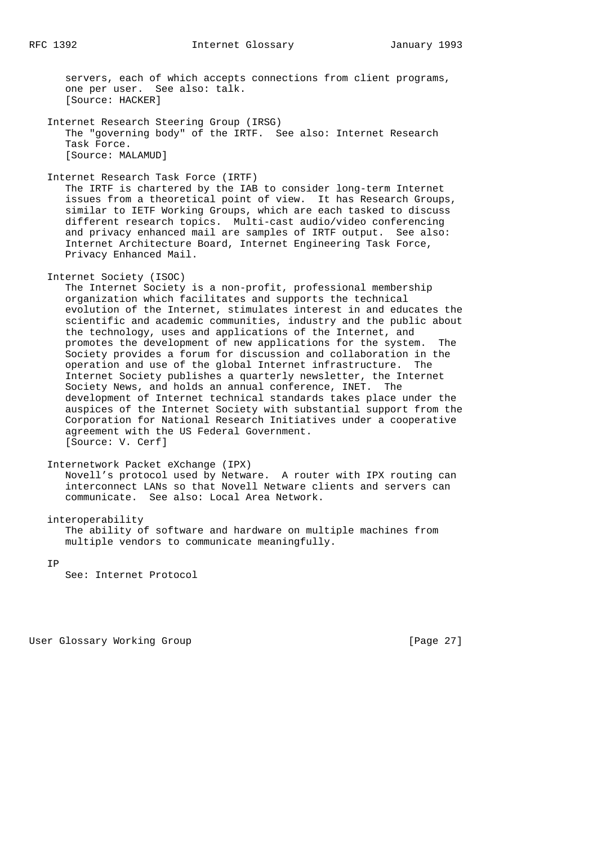servers, each of which accepts connections from client programs, one per user. See also: talk. [Source: HACKER]

 Internet Research Steering Group (IRSG) The "governing body" of the IRTF. See also: Internet Research Task Force. [Source: MALAMUD]

Internet Research Task Force (IRTF)

 The IRTF is chartered by the IAB to consider long-term Internet issues from a theoretical point of view. It has Research Groups, similar to IETF Working Groups, which are each tasked to discuss different research topics. Multi-cast audio/video conferencing and privacy enhanced mail are samples of IRTF output. See also: Internet Architecture Board, Internet Engineering Task Force, Privacy Enhanced Mail.

Internet Society (ISOC)

 The Internet Society is a non-profit, professional membership organization which facilitates and supports the technical evolution of the Internet, stimulates interest in and educates the scientific and academic communities, industry and the public about the technology, uses and applications of the Internet, and promotes the development of new applications for the system. The Society provides a forum for discussion and collaboration in the operation and use of the global Internet infrastructure. The Internet Society publishes a quarterly newsletter, the Internet Society News, and holds an annual conference, INET. The development of Internet technical standards takes place under the auspices of the Internet Society with substantial support from the Corporation for National Research Initiatives under a cooperative agreement with the US Federal Government. [Source: V. Cerf]

Internetwork Packet eXchange (IPX)

 Novell's protocol used by Netware. A router with IPX routing can interconnect LANs so that Novell Netware clients and servers can communicate. See also: Local Area Network.

interoperability

 The ability of software and hardware on multiple machines from multiple vendors to communicate meaningfully.

IP

See: Internet Protocol

User Glossary Working Group **[Page 27]**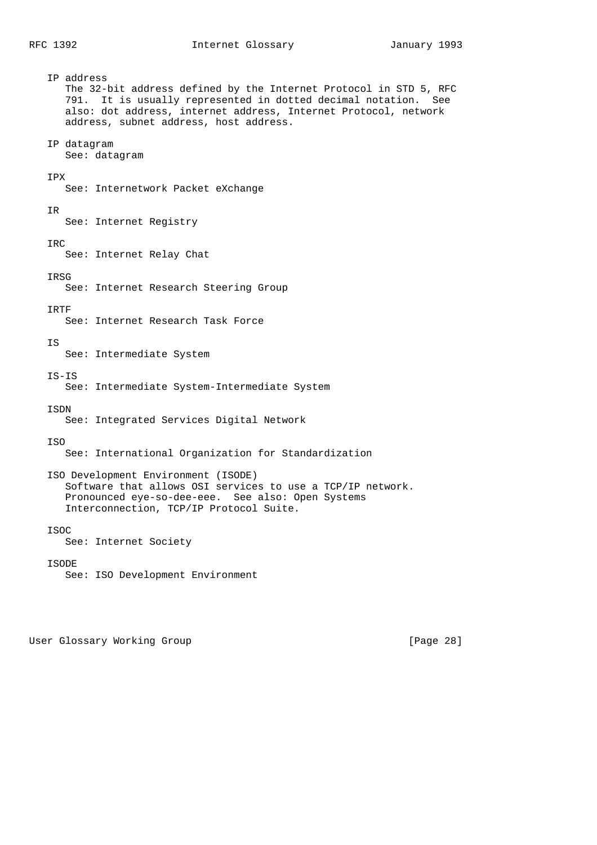| IP address<br>The 32-bit address defined by the Internet Protocol in STD 5, RFC<br>791. It is usually represented in dotted decimal notation. See<br>also: dot address, internet address, Internet Protocol, network<br>address, subnet address, host address. |
|----------------------------------------------------------------------------------------------------------------------------------------------------------------------------------------------------------------------------------------------------------------|
| IP datagram<br>See: datagram                                                                                                                                                                                                                                   |
| IPX<br>See: Internetwork Packet eXchange                                                                                                                                                                                                                       |
| IR<br>See: Internet Registry                                                                                                                                                                                                                                   |
| <b>IRC</b><br>See: Internet Relay Chat                                                                                                                                                                                                                         |
| IRSG<br>See: Internet Research Steering Group                                                                                                                                                                                                                  |
| IRTF<br>See: Internet Research Task Force                                                                                                                                                                                                                      |
| IS<br>See: Intermediate System                                                                                                                                                                                                                                 |
| $IS-IS$<br>See: Intermediate System-Intermediate System                                                                                                                                                                                                        |
| ISDN<br>See: Integrated Services Digital Network                                                                                                                                                                                                               |
| <b>ISO</b><br>See: International Organization for Standardization                                                                                                                                                                                              |
| ISO Development Environment (ISODE)<br>Software that allows OSI services to use a TCP/IP network.<br>Pronounced eye-so-dee-eee. See also: Open Systems<br>Interconnection, TCP/IP Protocol Suite.                                                              |
| ISOC<br>See: Internet Society                                                                                                                                                                                                                                  |
| ISODE<br>See: ISO Development Environment                                                                                                                                                                                                                      |

User Glossary Working Group **Example 28** and League 28 and League 28 and League 28 and League 28 and League 28 and League 28 and League 28 and League 28 and League 28 and League 28 and League 28 and League 28 and League 28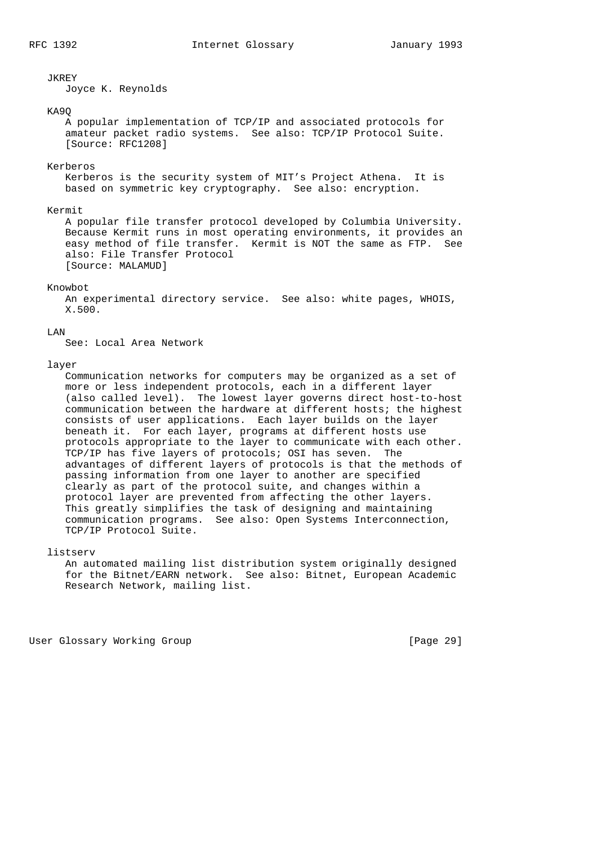# JKREY

Joyce K. Reynolds

#### KA90

 A popular implementation of TCP/IP and associated protocols for amateur packet radio systems. See also: TCP/IP Protocol Suite. [Source: RFC1208]

# Kerberos

 Kerberos is the security system of MIT's Project Athena. It is based on symmetric key cryptography. See also: encryption.

### Kermit

 A popular file transfer protocol developed by Columbia University. Because Kermit runs in most operating environments, it provides an easy method of file transfer. Kermit is NOT the same as FTP. See also: File Transfer Protocol [Source: MALAMUD]

### Knowbot

 An experimental directory service. See also: white pages, WHOIS, X.500.

### T.AN

See: Local Area Network

#### layer

 Communication networks for computers may be organized as a set of more or less independent protocols, each in a different layer (also called level). The lowest layer governs direct host-to-host communication between the hardware at different hosts; the highest consists of user applications. Each layer builds on the layer beneath it. For each layer, programs at different hosts use protocols appropriate to the layer to communicate with each other. TCP/IP has five layers of protocols; OSI has seven. The advantages of different layers of protocols is that the methods of passing information from one layer to another are specified clearly as part of the protocol suite, and changes within a protocol layer are prevented from affecting the other layers. This greatly simplifies the task of designing and maintaining communication programs. See also: Open Systems Interconnection, TCP/IP Protocol Suite.

### listserv

 An automated mailing list distribution system originally designed for the Bitnet/EARN network. See also: Bitnet, European Academic Research Network, mailing list.

User Glossary Working Group **[Page 29]**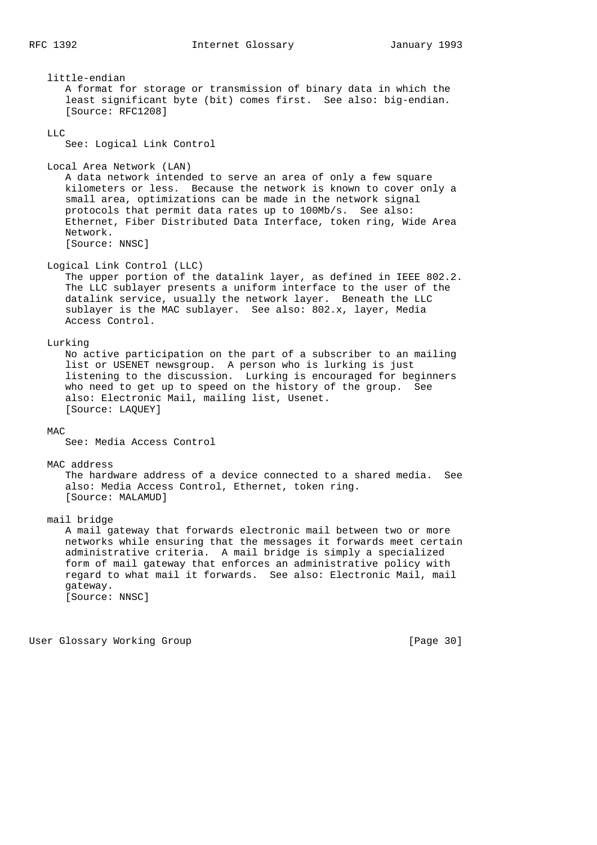little-endian A format for storage or transmission of binary data in which the least significant byte (bit) comes first. See also: big-endian. [Source: RFC1208]  $T.T.C$  See: Logical Link Control Local Area Network (LAN) A data network intended to serve an area of only a few square kilometers or less. Because the network is known to cover only a small area, optimizations can be made in the network signal protocols that permit data rates up to 100Mb/s. See also: Ethernet, Fiber Distributed Data Interface, token ring, Wide Area Network. [Source: NNSC] Logical Link Control (LLC) The upper portion of the datalink layer, as defined in IEEE 802.2. The LLC sublayer presents a uniform interface to the user of the datalink service, usually the network layer. Beneath the LLC sublayer is the MAC sublayer. See also: 802.x, layer, Media Access Control. Lurking No active participation on the part of a subscriber to an mailing list or USENET newsgroup. A person who is lurking is just listening to the discussion. Lurking is encouraged for beginners who need to get up to speed on the history of the group. See also: Electronic Mail, mailing list, Usenet. [Source: LAQUEY] MAC See: Media Access Control MAC address The hardware address of a device connected to a shared media. See also: Media Access Control, Ethernet, token ring. [Source: MALAMUD] mail bridge A mail gateway that forwards electronic mail between two or more networks while ensuring that the messages it forwards meet certain administrative criteria. A mail bridge is simply a specialized form of mail gateway that enforces an administrative policy with regard to what mail it forwards. See also: Electronic Mail, mail gateway. [Source: NNSC]

User Glossary Working Group **by the Contract of Contract Contract Contract Contract Contract Contract Contract**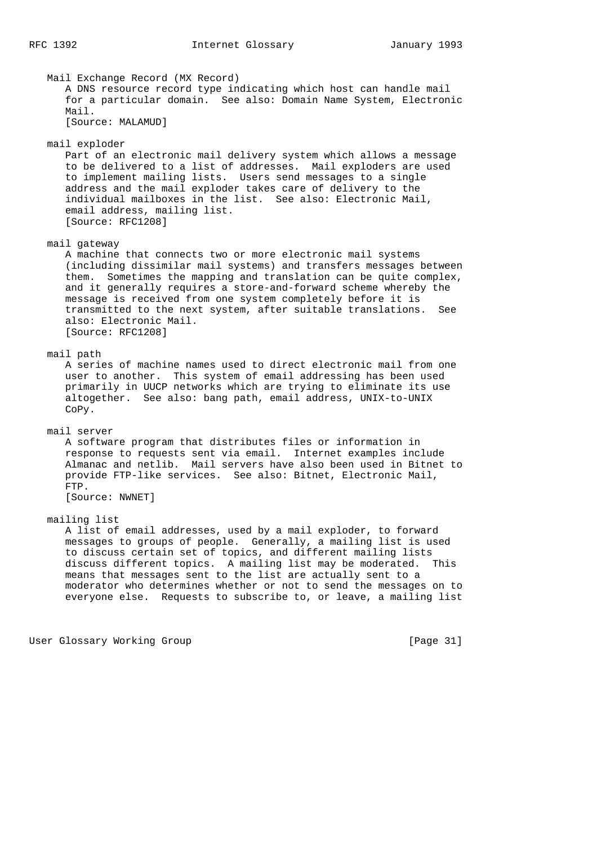Mail Exchange Record (MX Record) A DNS resource record type indicating which host can handle mail for a particular domain. See also: Domain Name System, Electronic Mail. [Source: MALAMUD] mail exploder Part of an electronic mail delivery system which allows a message to be delivered to a list of addresses. Mail exploders are used to implement mailing lists. Users send messages to a single address and the mail exploder takes care of delivery to the individual mailboxes in the list. See also: Electronic Mail, email address, mailing list. [Source: RFC1208] mail gateway A machine that connects two or more electronic mail systems (including dissimilar mail systems) and transfers messages between them. Sometimes the mapping and translation can be quite complex, and it generally requires a store-and-forward scheme whereby the message is received from one system completely before it is transmitted to the next system, after suitable translations. See also: Electronic Mail. [Source: RFC1208] mail path A series of machine names used to direct electronic mail from one user to another. This system of email addressing has been used primarily in UUCP networks which are trying to eliminate its use altogether. See also: bang path, email address, UNIX-to-UNIX CoPy. mail server A software program that distributes files or information in response to requests sent via email. Internet examples include Almanac and netlib. Mail servers have also been used in Bitnet to provide FTP-like services. See also: Bitnet, Electronic Mail, FTP. [Source: NWNET] mailing list A list of email addresses, used by a mail exploder, to forward messages to groups of people. Generally, a mailing list is used to discuss certain set of topics, and different mailing lists discuss different topics. A mailing list may be moderated. This means that messages sent to the list are actually sent to a moderator who determines whether or not to send the messages on to

everyone else. Requests to subscribe to, or leave, a mailing list

User Glossary Working Group **[Page 31]**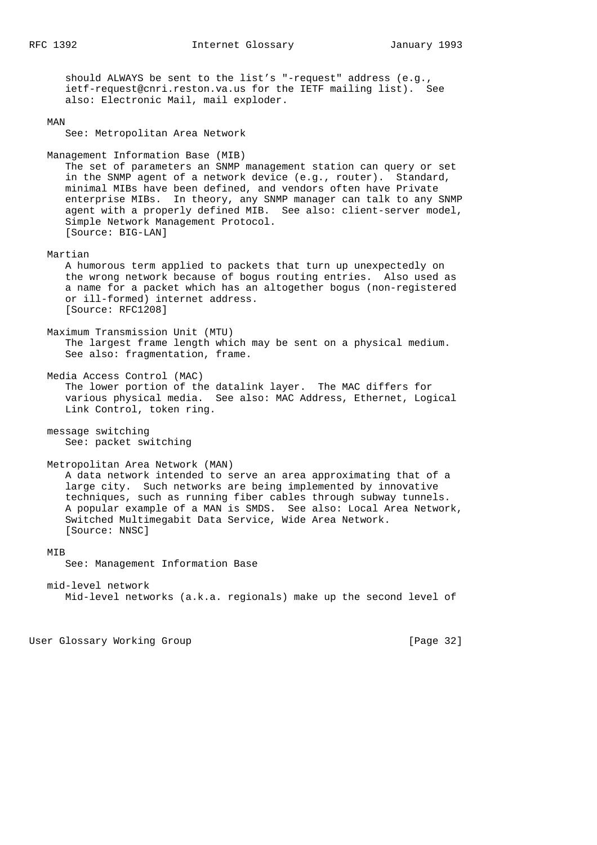should ALWAYS be sent to the list's "-request" address (e.g., ietf-request@cnri.reston.va.us for the IETF mailing list). See also: Electronic Mail, mail exploder.

#### MAN

See: Metropolitan Area Network

# Management Information Base (MIB)

 The set of parameters an SNMP management station can query or set in the SNMP agent of a network device (e.g., router). Standard, minimal MIBs have been defined, and vendors often have Private enterprise MIBs. In theory, any SNMP manager can talk to any SNMP agent with a properly defined MIB. See also: client-server model, Simple Network Management Protocol. [Source: BIG-LAN]

#### Martian

 A humorous term applied to packets that turn up unexpectedly on the wrong network because of bogus routing entries. Also used as a name for a packet which has an altogether bogus (non-registered or ill-formed) internet address. [Source: RFC1208]

 Maximum Transmission Unit (MTU) The largest frame length which may be sent on a physical medium. See also: fragmentation, frame.

Media Access Control (MAC)

 The lower portion of the datalink layer. The MAC differs for various physical media. See also: MAC Address, Ethernet, Logical Link Control, token ring.

```
 message switching
See: packet switching
```
 Metropolitan Area Network (MAN) A data network intended to serve an area approximating that of a large city. Such networks are being implemented by innovative techniques, such as running fiber cables through subway tunnels. A popular example of a MAN is SMDS. See also: Local Area Network, Switched Multimegabit Data Service, Wide Area Network. [Source: NNSC]

### MIB

See: Management Information Base

 mid-level network Mid-level networks (a.k.a. regionals) make up the second level of

User Glossary Working Group [Page 32]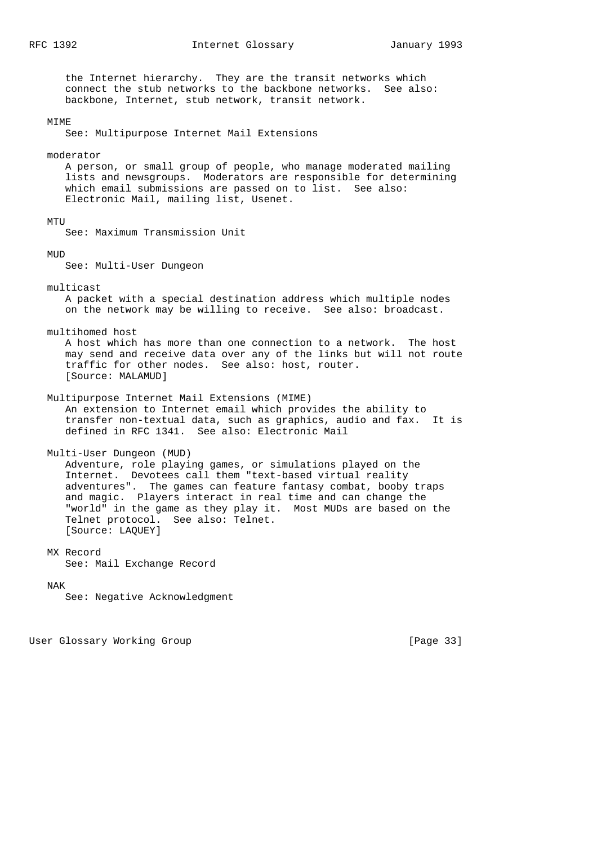the Internet hierarchy. They are the transit networks which connect the stub networks to the backbone networks. See also: backbone, Internet, stub network, transit network. MTME. See: Multipurpose Internet Mail Extensions moderator A person, or small group of people, who manage moderated mailing lists and newsgroups. Moderators are responsible for determining which email submissions are passed on to list. See also: Electronic Mail, mailing list, Usenet. **MTIT**  See: Maximum Transmission Unit MUD See: Multi-User Dungeon multicast A packet with a special destination address which multiple nodes on the network may be willing to receive. See also: broadcast. multihomed host A host which has more than one connection to a network. The host may send and receive data over any of the links but will not route traffic for other nodes. See also: host, router. [Source: MALAMUD] Multipurpose Internet Mail Extensions (MIME) An extension to Internet email which provides the ability to transfer non-textual data, such as graphics, audio and fax. It is defined in RFC 1341. See also: Electronic Mail Multi-User Dungeon (MUD) Adventure, role playing games, or simulations played on the Internet. Devotees call them "text-based virtual reality adventures". The games can feature fantasy combat, booby traps and magic. Players interact in real time and can change the "world" in the game as they play it. Most MUDs are based on the Telnet protocol. See also: Telnet. [Source: LAQUEY] MX Record See: Mail Exchange Record NAK See: Negative Acknowledgment

User Glossary Working Group **[Page 33]**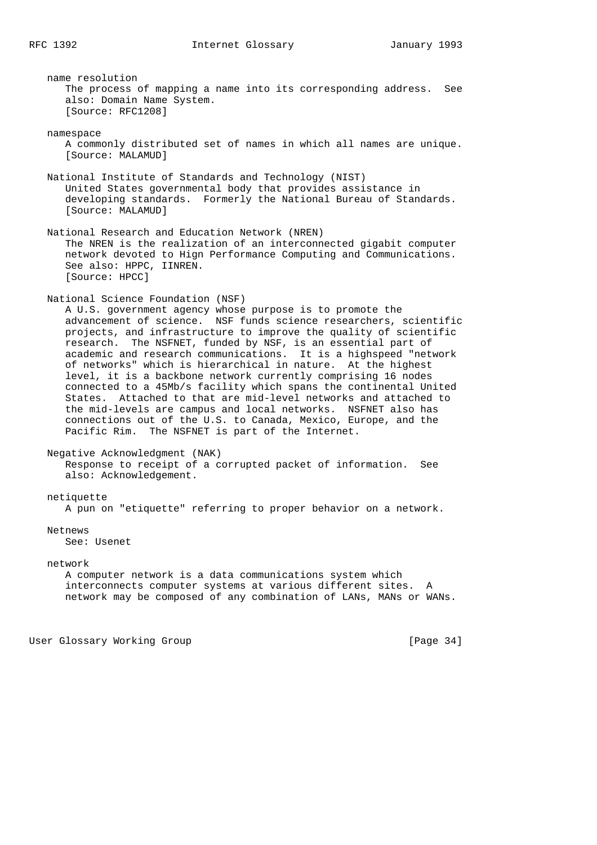name resolution The process of mapping a name into its corresponding address. See also: Domain Name System. [Source: RFC1208] namespace A commonly distributed set of names in which all names are unique. [Source: MALAMUD] National Institute of Standards and Technology (NIST) United States governmental body that provides assistance in developing standards. Formerly the National Bureau of Standards. [Source: MALAMUD] National Research and Education Network (NREN) The NREN is the realization of an interconnected gigabit computer network devoted to Hign Performance Computing and Communications. See also: HPPC, IINREN. [Source: HPCC] National Science Foundation (NSF) A U.S. government agency whose purpose is to promote the advancement of science. NSF funds science researchers, scientific projects, and infrastructure to improve the quality of scientific research. The NSFNET, funded by NSF, is an essential part of academic and research communications. It is a highspeed "network of networks" which is hierarchical in nature. At the highest level, it is a backbone network currently comprising 16 nodes connected to a 45Mb/s facility which spans the continental United States. Attached to that are mid-level networks and attached to the mid-levels are campus and local networks. NSFNET also has connections out of the U.S. to Canada, Mexico, Europe, and the Pacific Rim. The NSFNET is part of the Internet. Negative Acknowledgment (NAK) Response to receipt of a corrupted packet of information. See also: Acknowledgement. netiquette A pun on "etiquette" referring to proper behavior on a network. Netnews See: Usenet network A computer network is a data communications system which interconnects computer systems at various different sites. A network may be composed of any combination of LANs, MANs or WANs.

User Glossary Working Group **[Page 34]**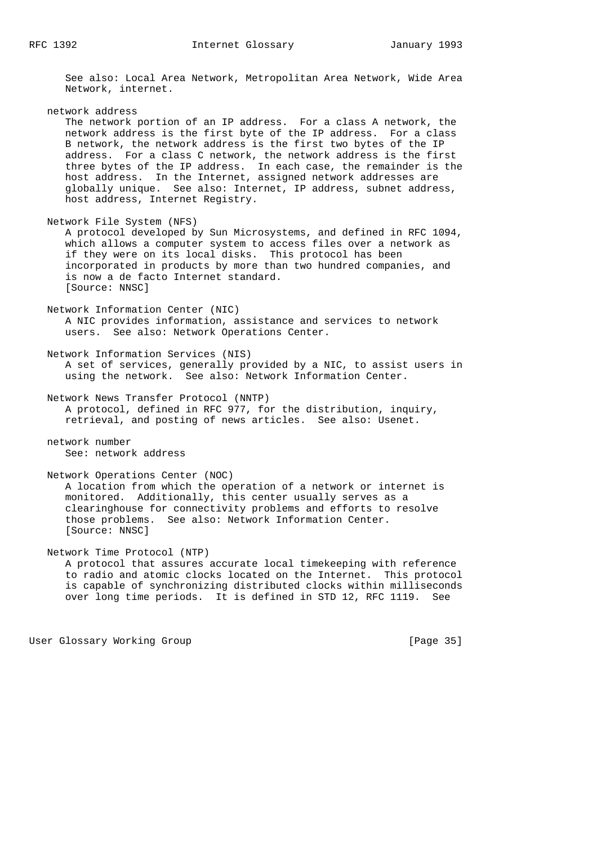| See also: Local Area Network, Metropolitan Area Network, Wide Area<br>Network, internet.                                                                                                                                                                                                                                                                                                                                                                                                                                                     |
|----------------------------------------------------------------------------------------------------------------------------------------------------------------------------------------------------------------------------------------------------------------------------------------------------------------------------------------------------------------------------------------------------------------------------------------------------------------------------------------------------------------------------------------------|
| network address<br>The network portion of an IP address. For a class A network, the<br>network address is the first byte of the IP address. For a class<br>B network, the network address is the first two bytes of the IP<br>address. For a class C network, the network address is the first<br>three bytes of the IP address. In each case, the remainder is the<br>host address. In the Internet, assigned network addresses are<br>globally unique. See also: Internet, IP address, subnet address,<br>host address, Internet Registry. |
| Network File System (NFS)<br>A protocol developed by Sun Microsystems, and defined in RFC 1094,<br>which allows a computer system to access files over a network as<br>if they were on its local disks. This protocol has been<br>incorporated in products by more than two hundred companies, and<br>is now a de facto Internet standard.<br>[Source: NNSC]                                                                                                                                                                                 |
| Network Information Center (NIC)<br>A NIC provides information, assistance and services to network<br>users. See also: Network Operations Center.                                                                                                                                                                                                                                                                                                                                                                                            |
| Network Information Services (NIS)<br>A set of services, generally provided by a NIC, to assist users in<br>using the network. See also: Network Information Center.                                                                                                                                                                                                                                                                                                                                                                         |
| Network News Transfer Protocol (NNTP)<br>A protocol, defined in RFC 977, for the distribution, inquiry,<br>retrieval, and posting of news articles. See also: Usenet.                                                                                                                                                                                                                                                                                                                                                                        |
| network number<br>See: network address                                                                                                                                                                                                                                                                                                                                                                                                                                                                                                       |
| Network Operations Center (NOC)<br>A location from which the operation of a network or internet is<br>monitored. Additionally, this center usually serves as a<br>clearinghouse for connectivity problems and efforts to resolve<br>those problems. See also: Network Information Center.<br>[Source: NNSC]                                                                                                                                                                                                                                  |
| Network Time Protocol (NTP)<br>A protocol that assures accurate local timekeeping with reference<br>to radio and atomic clocks located on the Internet This protocol                                                                                                                                                                                                                                                                                                                                                                         |

 to radio and atomic clocks located on the Internet. This protocol is capable of synchronizing distributed clocks within milliseconds over long time periods. It is defined in STD 12, RFC 1119. See

User Glossary Working Group **Example 20** (Page 35)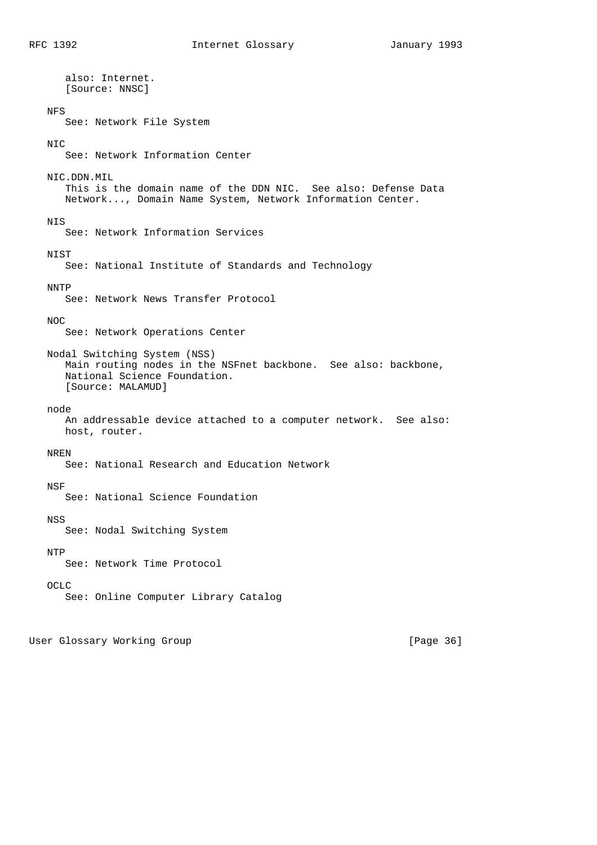also: Internet. [Source: NNSC] NFS See: Network File System NIC See: Network Information Center NIC.DDN.MIL This is the domain name of the DDN NIC. See also: Defense Data Network..., Domain Name System, Network Information Center. NIS See: Network Information Services NIST See: National Institute of Standards and Technology NNTP See: Network News Transfer Protocol NOC See: Network Operations Center Nodal Switching System (NSS) Main routing nodes in the NSFnet backbone. See also: backbone, National Science Foundation. [Source: MALAMUD] node An addressable device attached to a computer network. See also: host, router. NREN See: National Research and Education Network NSF See: National Science Foundation NSS See: Nodal Switching System NTP See: Network Time Protocol OCLC See: Online Computer Library Catalog

User Glossary Working Group **[Page 36]**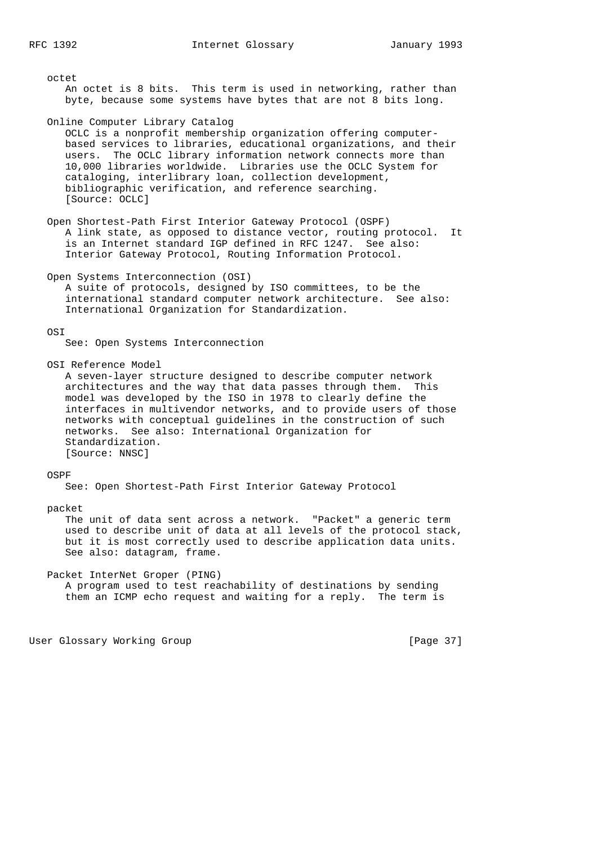| octet<br>An octet is 8 bits. This term is used in networking, rather than<br>byte, because some systems have bytes that are not 8 bits long.                                                                                                                                                                                                                                                                                                                 |
|--------------------------------------------------------------------------------------------------------------------------------------------------------------------------------------------------------------------------------------------------------------------------------------------------------------------------------------------------------------------------------------------------------------------------------------------------------------|
| Online Computer Library Catalog<br>OCLC is a nonprofit membership organization offering computer-<br>based services to libraries, educational organizations, and their<br>users. The OCLC library information network connects more than<br>10,000 libraries worldwide. Libraries use the OCLC System for<br>cataloging, interlibrary loan, collection development,<br>bibliographic verification, and reference searching.<br>[Source: OCLC]                |
| Open Shortest-Path First Interior Gateway Protocol (OSPF)<br>A link state, as opposed to distance vector, routing protocol.<br>Ιt<br>is an Internet standard IGP defined in RFC 1247. See also:<br>Interior Gateway Protocol, Routing Information Protocol.                                                                                                                                                                                                  |
| Open Systems Interconnection (OSI)<br>A suite of protocols, designed by ISO committees, to be the<br>international standard computer network architecture. See also:<br>International Organization for Standardization.                                                                                                                                                                                                                                      |
| OSI<br>See: Open Systems Interconnection                                                                                                                                                                                                                                                                                                                                                                                                                     |
| OSI Reference Model<br>A seven-layer structure designed to describe computer network<br>architectures and the way that data passes through them.<br>This<br>model was developed by the ISO in 1978 to clearly define the<br>interfaces in multivendor networks, and to provide users of those<br>networks with conceptual guidelines in the construction of such<br>networks. See also: International Organization for<br>Standardization.<br>[Source: NNSC] |
| OSPF<br>See: Open Shortest-Path First Interior Gateway Protocol                                                                                                                                                                                                                                                                                                                                                                                              |
| packet<br>The unit of data sent across a network. "Packet" a generic term<br>used to describe unit of data at all levels of the protocol stack,<br>but it is most correctly used to describe application data units.<br>See also: datagram, frame.                                                                                                                                                                                                           |
| Packet InterNet Groper (PING)<br>A program used to test reachability of destinations by sending<br>them an ICMP echo request and waiting for a reply. The term is                                                                                                                                                                                                                                                                                            |
| User Glossary Working Group<br>[Page 37]                                                                                                                                                                                                                                                                                                                                                                                                                     |
|                                                                                                                                                                                                                                                                                                                                                                                                                                                              |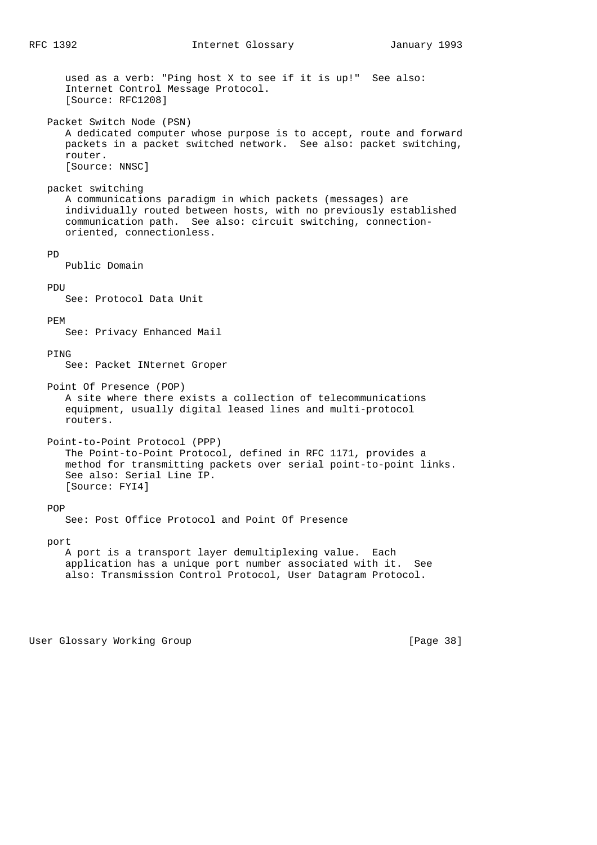used as a verb: "Ping host X to see if it is up!" See also: Internet Control Message Protocol. [Source: RFC1208] Packet Switch Node (PSN) A dedicated computer whose purpose is to accept, route and forward packets in a packet switched network. See also: packet switching, router. [Source: NNSC] packet switching A communications paradigm in which packets (messages) are individually routed between hosts, with no previously established communication path. See also: circuit switching, connection oriented, connectionless. **DD**  Public Domain **PDU**  See: Protocol Data Unit PEM See: Privacy Enhanced Mail PING See: Packet INternet Groper Point Of Presence (POP) A site where there exists a collection of telecommunications equipment, usually digital leased lines and multi-protocol routers. Point-to-Point Protocol (PPP) The Point-to-Point Protocol, defined in RFC 1171, provides a method for transmitting packets over serial point-to-point links. See also: Serial Line IP. [Source: FYI4] POP See: Post Office Protocol and Point Of Presence port A port is a transport layer demultiplexing value. Each application has a unique port number associated with it. See also: Transmission Control Protocol, User Datagram Protocol.

User Glossary Working Group **[Page 38]**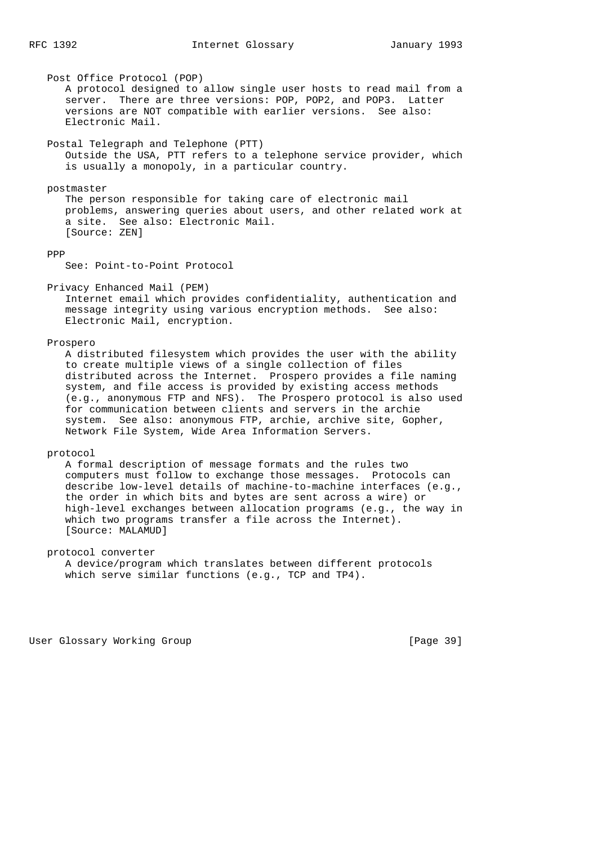Post Office Protocol (POP) A protocol designed to allow single user hosts to read mail from a server. There are three versions: POP, POP2, and POP3. Latter versions are NOT compatible with earlier versions. See also: Electronic Mail. Postal Telegraph and Telephone (PTT) Outside the USA, PTT refers to a telephone service provider, which is usually a monopoly, in a particular country. postmaster The person responsible for taking care of electronic mail problems, answering queries about users, and other related work at a site. See also: Electronic Mail. [Source: ZEN] PPP See: Point-to-Point Protocol Privacy Enhanced Mail (PEM) Internet email which provides confidentiality, authentication and message integrity using various encryption methods. See also: Electronic Mail, encryption. Prospero A distributed filesystem which provides the user with the ability to create multiple views of a single collection of files distributed across the Internet. Prospero provides a file naming system, and file access is provided by existing access methods (e.g., anonymous FTP and NFS). The Prospero protocol is also used for communication between clients and servers in the archie system. See also: anonymous FTP, archie, archive site, Gopher, Network File System, Wide Area Information Servers.

### protocol

 A formal description of message formats and the rules two computers must follow to exchange those messages. Protocols can describe low-level details of machine-to-machine interfaces (e.g., the order in which bits and bytes are sent across a wire) or high-level exchanges between allocation programs (e.g., the way in which two programs transfer a file across the Internet). [Source: MALAMUD]

protocol converter

 A device/program which translates between different protocols which serve similar functions (e.g., TCP and TP4).

User Glossary Working Group **[Page 39]**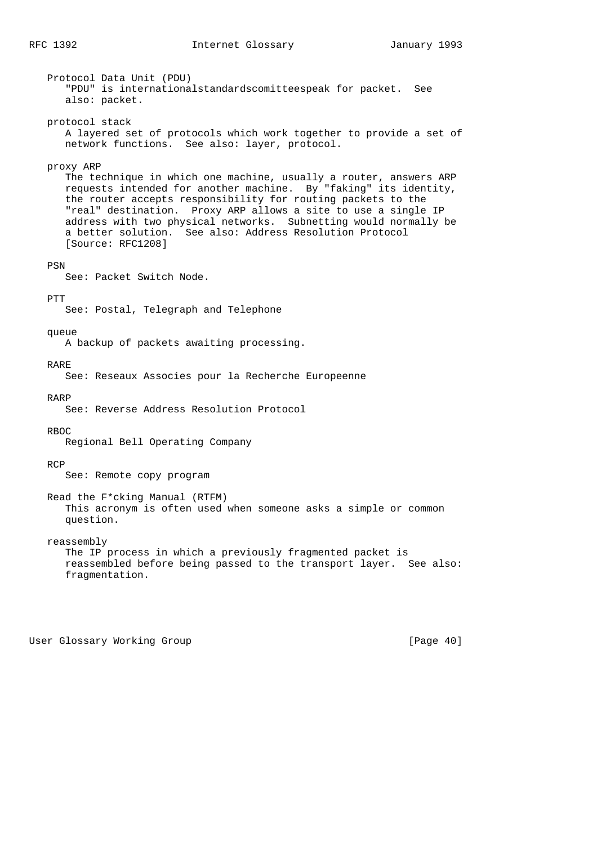Protocol Data Unit (PDU) "PDU" is internationalstandardscomitteespeak for packet. See also: packet. protocol stack A layered set of protocols which work together to provide a set of network functions. See also: layer, protocol. proxy ARP The technique in which one machine, usually a router, answers ARP requests intended for another machine. By "faking" its identity, the router accepts responsibility for routing packets to the "real" destination. Proxy ARP allows a site to use a single IP address with two physical networks. Subnetting would normally be a better solution. See also: Address Resolution Protocol [Source: RFC1208] PSN See: Packet Switch Node. **PTT**  See: Postal, Telegraph and Telephone queue A backup of packets awaiting processing. RARE See: Reseaux Associes pour la Recherche Europeenne RARP See: Reverse Address Resolution Protocol RBOC Regional Bell Operating Company RCP See: Remote copy program Read the F\*cking Manual (RTFM) This acronym is often used when someone asks a simple or common question. reassembly The IP process in which a previously fragmented packet is reassembled before being passed to the transport layer. See also: fragmentation.

User Glossary Working Group **[Page 40]**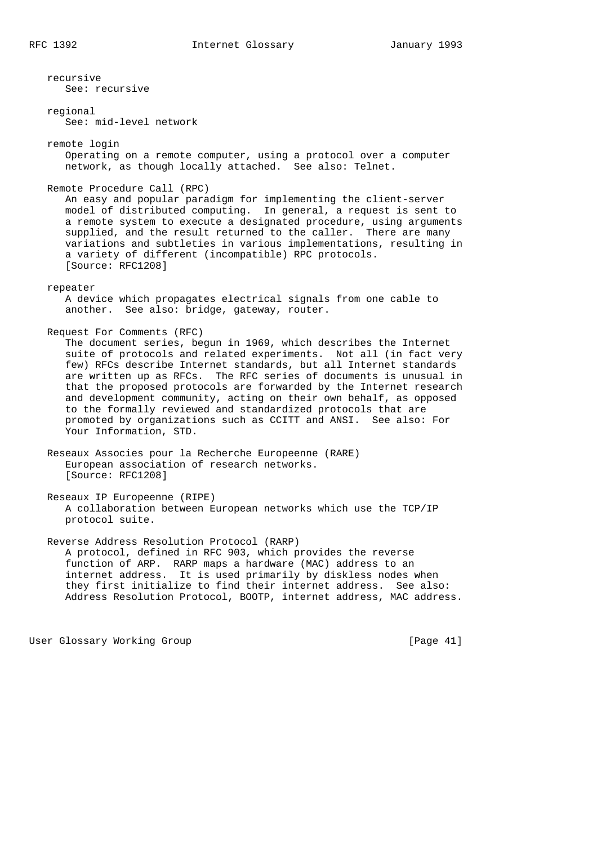recursive See: recursive regional See: mid-level network remote login Operating on a remote computer, using a protocol over a computer network, as though locally attached. See also: Telnet. Remote Procedure Call (RPC) An easy and popular paradigm for implementing the client-server model of distributed computing. In general, a request is sent to a remote system to execute a designated procedure, using arguments supplied, and the result returned to the caller. There are many variations and subtleties in various implementations, resulting in a variety of different (incompatible) RPC protocols. [Source: RFC1208] repeater A device which propagates electrical signals from one cable to another. See also: bridge, gateway, router. Request For Comments (RFC) The document series, begun in 1969, which describes the Internet suite of protocols and related experiments. Not all (in fact very few) RFCs describe Internet standards, but all Internet standards are written up as RFCs. The RFC series of documents is unusual in that the proposed protocols are forwarded by the Internet research and development community, acting on their own behalf, as opposed to the formally reviewed and standardized protocols that are promoted by organizations such as CCITT and ANSI. See also: For Your Information, STD. Reseaux Associes pour la Recherche Europeenne (RARE) European association of research networks. [Source: RFC1208] Reseaux IP Europeenne (RIPE) A collaboration between European networks which use the TCP/IP protocol suite. Reverse Address Resolution Protocol (RARP) A protocol, defined in RFC 903, which provides the reverse function of ARP. RARP maps a hardware (MAC) address to an internet address. It is used primarily by diskless nodes when they first initialize to find their internet address. See also: Address Resolution Protocol, BOOTP, internet address, MAC address.

User Glossary Working Group **[Page 41]**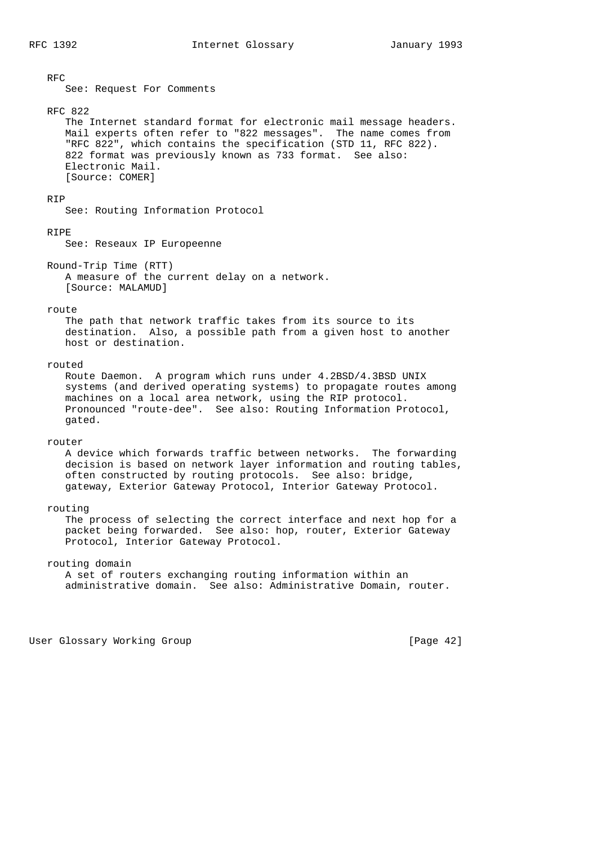| RFC                                                                                                                                                                                                                                                                                                                  |
|----------------------------------------------------------------------------------------------------------------------------------------------------------------------------------------------------------------------------------------------------------------------------------------------------------------------|
| See: Request For Comments                                                                                                                                                                                                                                                                                            |
| RFC 822<br>The Internet standard format for electronic mail message headers.<br>Mail experts often refer to "822 messages". The name comes from<br>"RFC 822", which contains the specification (STD 11, RFC 822).<br>822 format was previously known as 733 format. See also:<br>Electronic Mail.<br>[Source: COMER] |
| <b>RIP</b>                                                                                                                                                                                                                                                                                                           |
| See: Routing Information Protocol                                                                                                                                                                                                                                                                                    |
| <b>RIPE</b>                                                                                                                                                                                                                                                                                                          |
| See: Reseaux IP Europeenne                                                                                                                                                                                                                                                                                           |
| Round-Trip Time (RTT)                                                                                                                                                                                                                                                                                                |
| A measure of the current delay on a network.<br>[Source: MALAMUD]                                                                                                                                                                                                                                                    |
| route<br>The path that network traffic takes from its source to its<br>destination. Also, a possible path from a given host to another<br>host or destination.                                                                                                                                                       |
| routed<br>Route Daemon. A program which runs under 4.2BSD/4.3BSD UNIX<br>systems (and derived operating systems) to propagate routes among<br>machines on a local area network, using the RIP protocol.<br>Pronounced "route-dee". See also: Routing Information Protocol,<br>gated.                                 |
| router<br>A device which forwards traffic between networks. The forwarding<br>decision is based on network layer information and routing tables,<br>often constructed by routing protocols. See also: bridge,<br>gateway, Exterior Gateway Protocol, Interior Gateway Protocol.                                      |
| routing<br>The process of selecting the correct interface and next hop for a<br>packet being forwarded. See also: hop, router, Exterior Gateway<br>Protocol, Interior Gateway Protocol.                                                                                                                              |
| routing domain                                                                                                                                                                                                                                                                                                       |

 A set of routers exchanging routing information within an administrative domain. See also: Administrative Domain, router.

User Glossary Working Group **Example 20** [Page 42]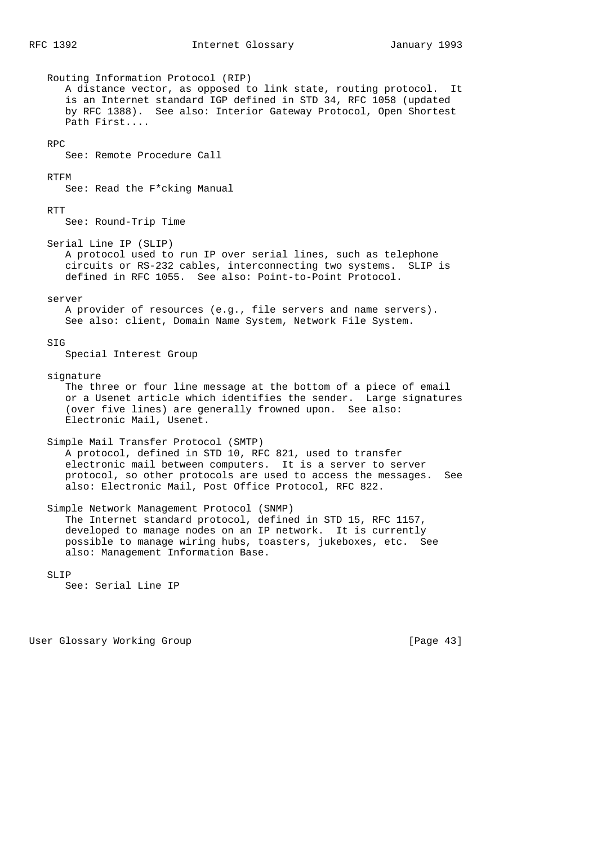Routing Information Protocol (RIP) A distance vector, as opposed to link state, routing protocol. It is an Internet standard IGP defined in STD 34, RFC 1058 (updated by RFC 1388). See also: Interior Gateway Protocol, Open Shortest Path First.... RPC See: Remote Procedure Call RTFM See: Read the F\*cking Manual RTT. See: Round-Trip Time Serial Line IP (SLIP) A protocol used to run IP over serial lines, such as telephone circuits or RS-232 cables, interconnecting two systems. SLIP is defined in RFC 1055. See also: Point-to-Point Protocol. server A provider of resources (e.g., file servers and name servers). See also: client, Domain Name System, Network File System. **SIG**  Special Interest Group signature The three or four line message at the bottom of a piece of email or a Usenet article which identifies the sender. Large signatures (over five lines) are generally frowned upon. See also: Electronic Mail, Usenet. Simple Mail Transfer Protocol (SMTP) A protocol, defined in STD 10, RFC 821, used to transfer electronic mail between computers. It is a server to server protocol, so other protocols are used to access the messages. See also: Electronic Mail, Post Office Protocol, RFC 822. Simple Network Management Protocol (SNMP) The Internet standard protocol, defined in STD 15, RFC 1157, developed to manage nodes on an IP network. It is currently possible to manage wiring hubs, toasters, jukeboxes, etc. See also: Management Information Base. SLIP See: Serial Line IP

User Glossary Working Group **by the Contract of Contract Contract Contract Contract Contract Contract Contract**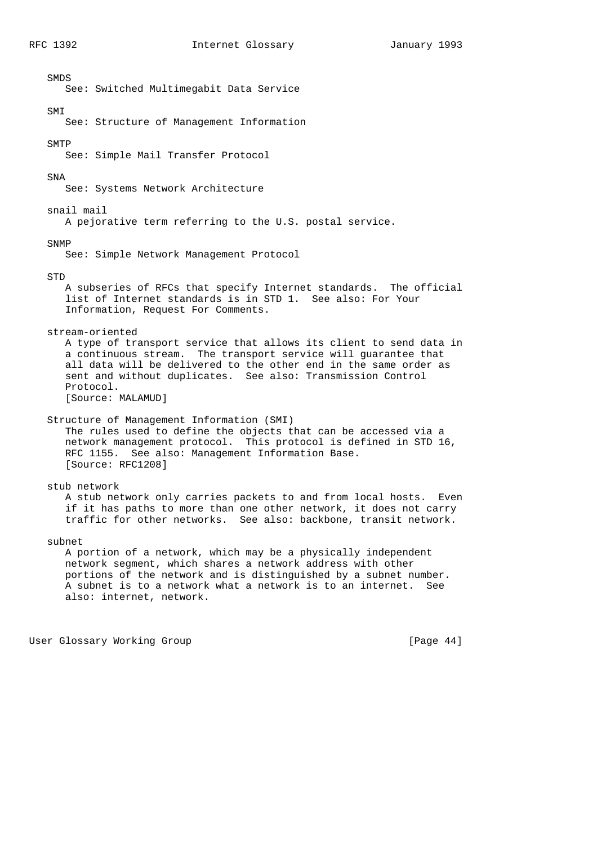SMDS See: Switched Multimegabit Data Service SMT See: Structure of Management Information SMTP See: Simple Mail Transfer Protocol SNA See: Systems Network Architecture snail mail A pejorative term referring to the U.S. postal service. **SNMP**  See: Simple Network Management Protocol STD A subseries of RFCs that specify Internet standards. The official list of Internet standards is in STD 1. See also: For Your Information, Request For Comments. stream-oriented A type of transport service that allows its client to send data in a continuous stream. The transport service will guarantee that all data will be delivered to the other end in the same order as sent and without duplicates. See also: Transmission Control Protocol. [Source: MALAMUD] Structure of Management Information (SMI) The rules used to define the objects that can be accessed via a network management protocol. This protocol is defined in STD 16, RFC 1155. See also: Management Information Base. [Source: RFC1208] stub network A stub network only carries packets to and from local hosts. Even if it has paths to more than one other network, it does not carry traffic for other networks. See also: backbone, transit network. subnet A portion of a network, which may be a physically independent network segment, which shares a network address with other portions of the network and is distinguished by a subnet number. A subnet is to a network what a network is to an internet. See also: internet, network.

User Glossary Working Group **by the Contract of Contract Contract Contract Contract Contract Contract Contract**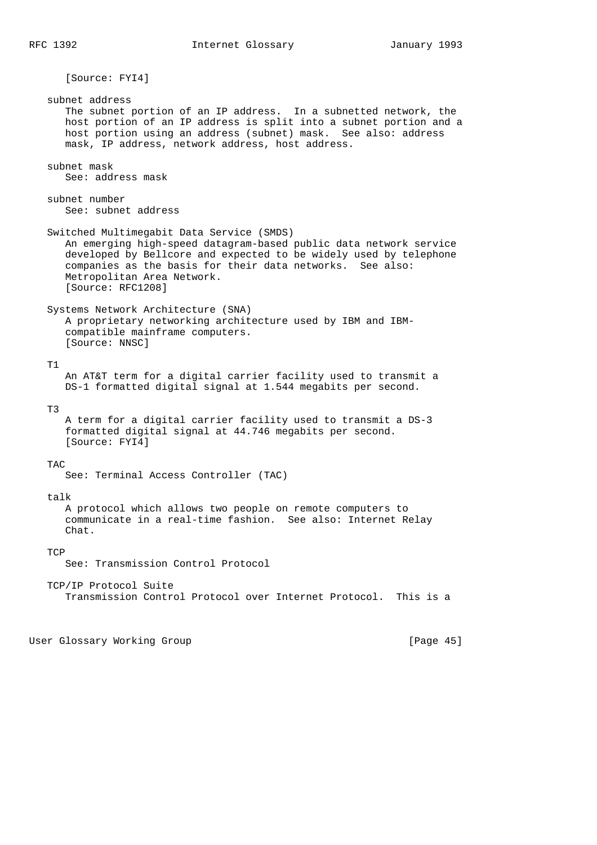[Source: FYI4] subnet address The subnet portion of an IP address. In a subnetted network, the host portion of an IP address is split into a subnet portion and a host portion using an address (subnet) mask. See also: address mask, IP address, network address, host address. subnet mask See: address mask subnet number See: subnet address Switched Multimegabit Data Service (SMDS) An emerging high-speed datagram-based public data network service developed by Bellcore and expected to be widely used by telephone companies as the basis for their data networks. See also: Metropolitan Area Network. [Source: RFC1208] Systems Network Architecture (SNA) A proprietary networking architecture used by IBM and IBM compatible mainframe computers. [Source: NNSC]  $T1$  An AT&T term for a digital carrier facility used to transmit a DS-1 formatted digital signal at 1.544 megabits per second. T3 A term for a digital carrier facility used to transmit a DS-3 formatted digital signal at 44.746 megabits per second. [Source: FYI4] TAC See: Terminal Access Controller (TAC) talk A protocol which allows two people on remote computers to communicate in a real-time fashion. See also: Internet Relay Chat. **TCP**  See: Transmission Control Protocol TCP/IP Protocol Suite Transmission Control Protocol over Internet Protocol. This is a

User Glossary Working Group **[Page 45]**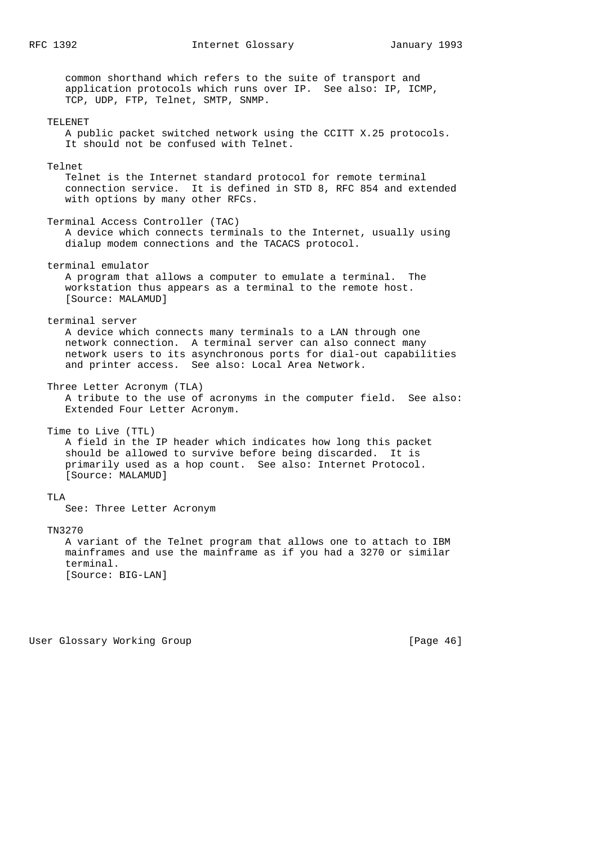common shorthand which refers to the suite of transport and application protocols which runs over IP. See also: IP, ICMP, TCP, UDP, FTP, Telnet, SMTP, SNMP. TELENET A public packet switched network using the CCITT X.25 protocols. It should not be confused with Telnet. Telnet Telnet is the Internet standard protocol for remote terminal connection service. It is defined in STD 8, RFC 854 and extended with options by many other RFCs. Terminal Access Controller (TAC) A device which connects terminals to the Internet, usually using dialup modem connections and the TACACS protocol. terminal emulator A program that allows a computer to emulate a terminal. The workstation thus appears as a terminal to the remote host. [Source: MALAMUD] terminal server A device which connects many terminals to a LAN through one network connection. A terminal server can also connect many network users to its asynchronous ports for dial-out capabilities and printer access. See also: Local Area Network. Three Letter Acronym (TLA) A tribute to the use of acronyms in the computer field. See also: Extended Four Letter Acronym. Time to Live (TTL) A field in the IP header which indicates how long this packet should be allowed to survive before being discarded. It is primarily used as a hop count. See also: Internet Protocol. [Source: MALAMUD] TLA See: Three Letter Acronym TN3270 A variant of the Telnet program that allows one to attach to IBM mainframes and use the mainframe as if you had a 3270 or similar terminal.

[Source: BIG-LAN]

User Glossary Working Group **by the Contract of Contract Contract Contract Contract Contract Contract Contract**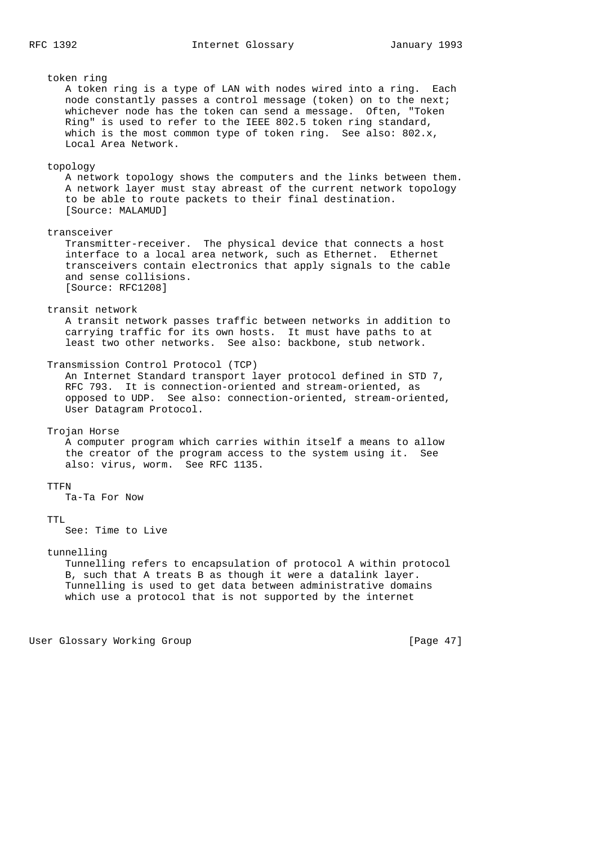# token ring A token ring is a type of LAN with nodes wired into a ring. Each node constantly passes a control message (token) on to the next; whichever node has the token can send a message. Often, "Token Ring" is used to refer to the IEEE 802.5 token ring standard, which is the most common type of token ring. See also: 802.x, Local Area Network. topology A network topology shows the computers and the links between them. A network layer must stay abreast of the current network topology to be able to route packets to their final destination. [Source: MALAMUD] transceiver Transmitter-receiver. The physical device that connects a host interface to a local area network, such as Ethernet. Ethernet transceivers contain electronics that apply signals to the cable and sense collisions. [Source: RFC1208] transit network A transit network passes traffic between networks in addition to carrying traffic for its own hosts. It must have paths to at least two other networks. See also: backbone, stub network. Transmission Control Protocol (TCP) An Internet Standard transport layer protocol defined in STD 7, RFC 793. It is connection-oriented and stream-oriented, as opposed to UDP. See also: connection-oriented, stream-oriented, User Datagram Protocol. Trojan Horse A computer program which carries within itself a means to allow the creator of the program access to the system using it. See also: virus, worm. See RFC 1135. TTFN Ta-Ta For Now TTT. See: Time to Live tunnelling Tunnelling refers to encapsulation of protocol A within protocol B, such that A treats B as though it were a datalink layer. Tunnelling is used to get data between administrative domains which use a protocol that is not supported by the internet

User Glossary Working Group **East Community** [Page 47]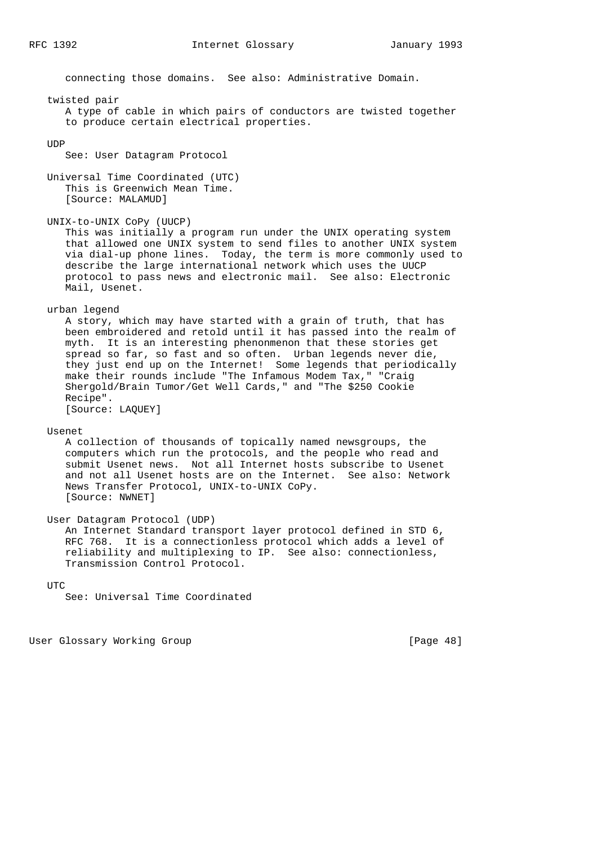connecting those domains. See also: Administrative Domain. twisted pair A type of cable in which pairs of conductors are twisted together to produce certain electrical properties. UDP See: User Datagram Protocol Universal Time Coordinated (UTC) This is Greenwich Mean Time. [Source: MALAMUD] UNIX-to-UNIX CoPy (UUCP) This was initially a program run under the UNIX operating system that allowed one UNIX system to send files to another UNIX system via dial-up phone lines. Today, the term is more commonly used to describe the large international network which uses the UUCP protocol to pass news and electronic mail. See also: Electronic Mail, Usenet. urban legend A story, which may have started with a grain of truth, that has been embroidered and retold until it has passed into the realm of myth. It is an interesting phenonmenon that these stories get spread so far, so fast and so often. Urban legends never die, they just end up on the Internet! Some legends that periodically make their rounds include "The Infamous Modem Tax," "Craig Shergold/Brain Tumor/Get Well Cards," and "The \$250 Cookie Recipe". [Source: LAQUEY] Usenet A collection of thousands of topically named newsgroups, the computers which run the protocols, and the people who read and submit Usenet news. Not all Internet hosts subscribe to Usenet and not all Usenet hosts are on the Internet. See also: Network News Transfer Protocol, UNIX-to-UNIX CoPy. [Source: NWNET] User Datagram Protocol (UDP) An Internet Standard transport layer protocol defined in STD 6, RFC 768. It is a connectionless protocol which adds a level of reliability and multiplexing to IP. See also: connectionless, Transmission Control Protocol. **TITC** See: Universal Time Coordinated

User Glossary Working Group **[Page 48]**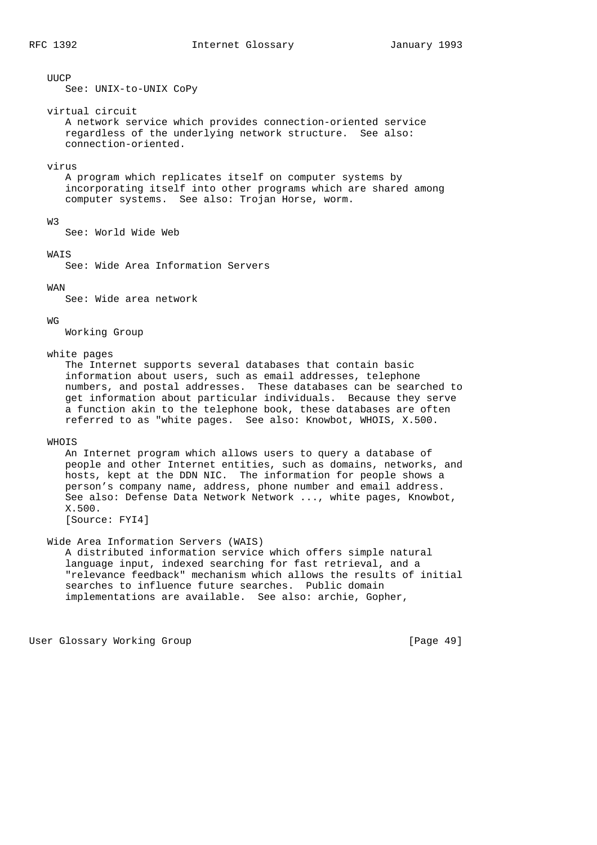### UUCP

See: UNIX-to-UNIX CoPy

virtual circuit

 A network service which provides connection-oriented service regardless of the underlying network structure. See also: connection-oriented.

# virus

 A program which replicates itself on computer systems by incorporating itself into other programs which are shared among computer systems. See also: Trojan Horse, worm.

### W3

See: World Wide Web

#### WAIS

See: Wide Area Information Servers

#### WAN

See: Wide area network

#### $WG$

Working Group

### white pages

 The Internet supports several databases that contain basic information about users, such as email addresses, telephone numbers, and postal addresses. These databases can be searched to get information about particular individuals. Because they serve a function akin to the telephone book, these databases are often referred to as "white pages. See also: Knowbot, WHOIS, X.500.

#### **WHOTS**

 An Internet program which allows users to query a database of people and other Internet entities, such as domains, networks, and hosts, kept at the DDN NIC. The information for people shows a person's company name, address, phone number and email address. See also: Defense Data Network Network ..., white pages, Knowbot, X.500. [Source: FYI4]

### Wide Area Information Servers (WAIS)

 A distributed information service which offers simple natural language input, indexed searching for fast retrieval, and a "relevance feedback" mechanism which allows the results of initial searches to influence future searches. Public domain implementations are available. See also: archie, Gopher,

User Glossary Working Group **by the Contract of Contract Contract Contract Contract Contract Contract Contract**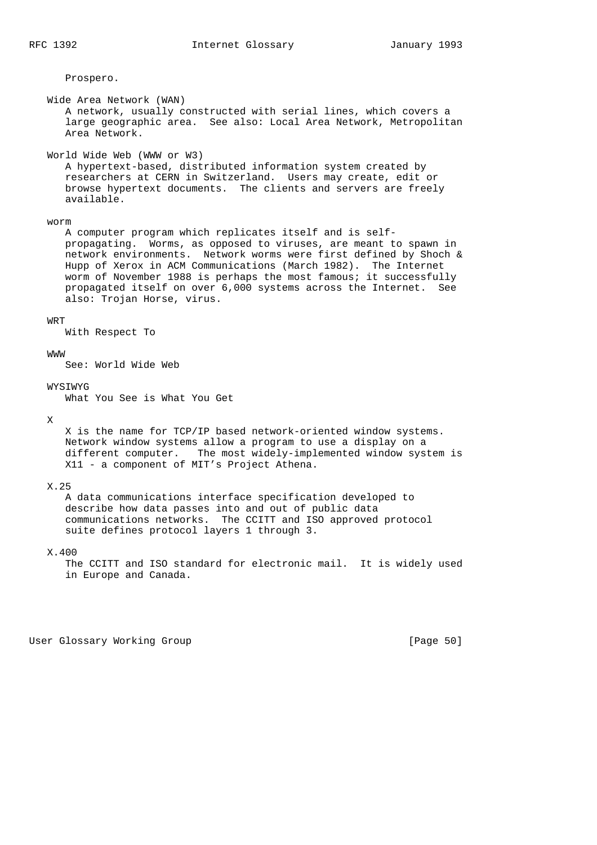Prospero.

Wide Area Network (WAN)

 A network, usually constructed with serial lines, which covers a large geographic area. See also: Local Area Network, Metropolitan Area Network.

# World Wide Web (WWW or W3)

 A hypertext-based, distributed information system created by researchers at CERN in Switzerland. Users may create, edit or browse hypertext documents. The clients and servers are freely available.

#### worm

 A computer program which replicates itself and is self propagating. Worms, as opposed to viruses, are meant to spawn in network environments. Network worms were first defined by Shoch & Hupp of Xerox in ACM Communications (March 1982). The Internet worm of November 1988 is perhaps the most famous; it successfully propagated itself on over 6,000 systems across the Internet. See also: Trojan Horse, virus.

### WRT

With Respect To

### WWW

See: World Wide Web

#### WYSIWYG

What You See is What You Get

X

 X is the name for TCP/IP based network-oriented window systems. Network window systems allow a program to use a display on a different computer. The most widely-implemented window system is X11 - a component of MIT's Project Athena.

### X.25

 A data communications interface specification developed to describe how data passes into and out of public data communications networks. The CCITT and ISO approved protocol suite defines protocol layers 1 through 3.

# X.400

 The CCITT and ISO standard for electronic mail. It is widely used in Europe and Canada.

User Glossary Working Group **[Page 50]**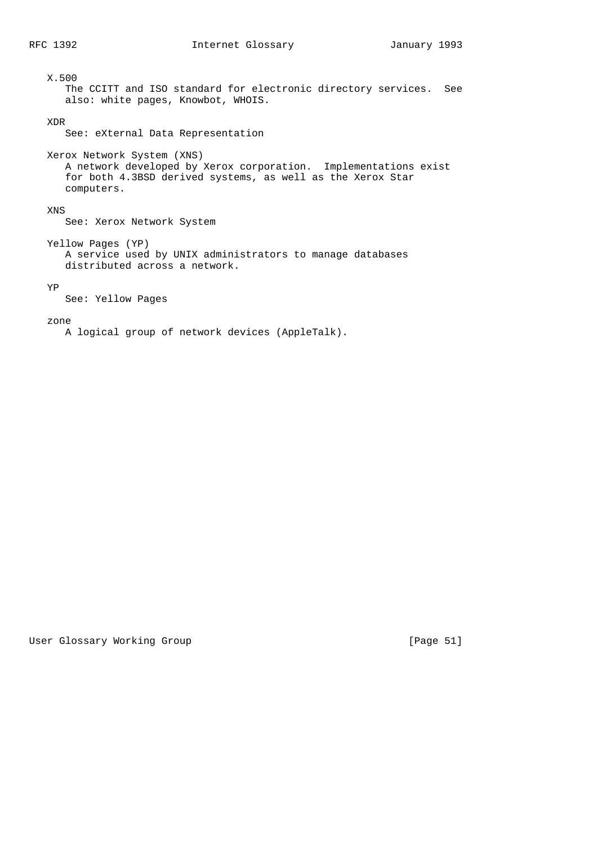| X.500<br>The CCITT and ISO standard for electronic directory services.<br>See<br>also: white pages, Knowbot, WHOIS.                                                       |
|---------------------------------------------------------------------------------------------------------------------------------------------------------------------------|
| XDR.<br>See: eXternal Data Representation                                                                                                                                 |
| Xerox Network System (XNS)<br>A network developed by Xerox corporation. Implementations exist<br>for both 4.3BSD derived systems, as well as the Xerox Star<br>computers. |
| XNS<br>See: Xerox Network System                                                                                                                                          |
| Yellow Pages (YP)<br>A service used by UNIX administrators to manage databases<br>distributed across a network.                                                           |
| YP<br>See: Yellow Pages                                                                                                                                                   |
| zone<br>A logical group of network devices (AppleTalk).                                                                                                                   |

User Glossary Working Group **Example 20** (Page 51)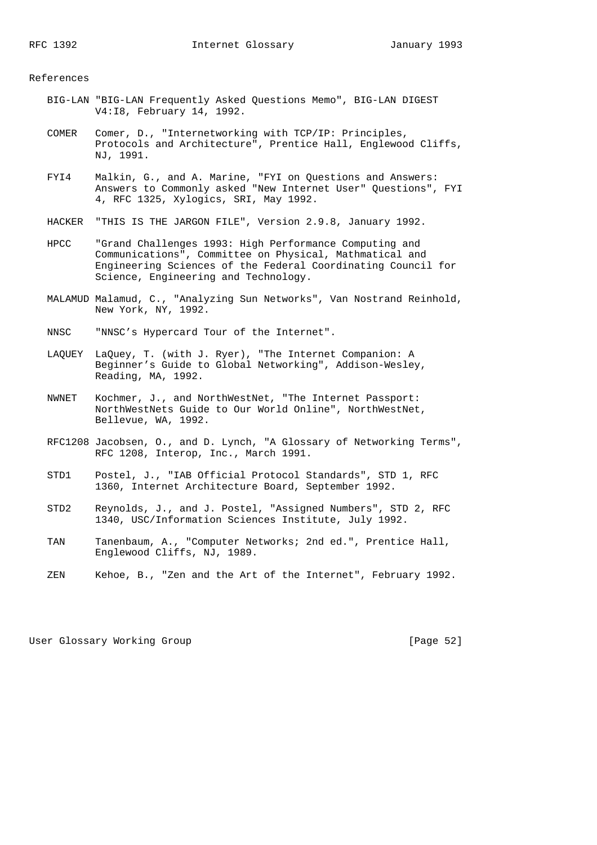References

- BIG-LAN "BIG-LAN Frequently Asked Questions Memo", BIG-LAN DIGEST V4:I8, February 14, 1992.
- COMER Comer, D., "Internetworking with TCP/IP: Principles, Protocols and Architecture", Prentice Hall, Englewood Cliffs, NJ, 1991.
- FYI4 Malkin, G., and A. Marine, "FYI on Questions and Answers: Answers to Commonly asked "New Internet User" Questions", FYI 4, RFC 1325, Xylogics, SRI, May 1992.
- HACKER "THIS IS THE JARGON FILE", Version 2.9.8, January 1992.
- HPCC "Grand Challenges 1993: High Performance Computing and Communications", Committee on Physical, Mathmatical and Engineering Sciences of the Federal Coordinating Council for Science, Engineering and Technology.
- MALAMUD Malamud, C., "Analyzing Sun Networks", Van Nostrand Reinhold, New York, NY, 1992.
- NNSC "NNSC's Hypercard Tour of the Internet".
- LAQUEY LaQuey, T. (with J. Ryer), "The Internet Companion: A Beginner's Guide to Global Networking", Addison-Wesley, Reading, MA, 1992.
- NWNET Kochmer, J., and NorthWestNet, "The Internet Passport: NorthWestNets Guide to Our World Online", NorthWestNet, Bellevue, WA, 1992.
- RFC1208 Jacobsen, O., and D. Lynch, "A Glossary of Networking Terms", RFC 1208, Interop, Inc., March 1991.
- STD1 Postel, J., "IAB Official Protocol Standards", STD 1, RFC 1360, Internet Architecture Board, September 1992.
- STD2 Reynolds, J., and J. Postel, "Assigned Numbers", STD 2, RFC 1340, USC/Information Sciences Institute, July 1992.
- TAN Tanenbaum, A., "Computer Networks; 2nd ed.", Prentice Hall, Englewood Cliffs, NJ, 1989.
- ZEN Kehoe, B., "Zen and the Art of the Internet", February 1992.

User Glossary Working Group **[Page 52]**